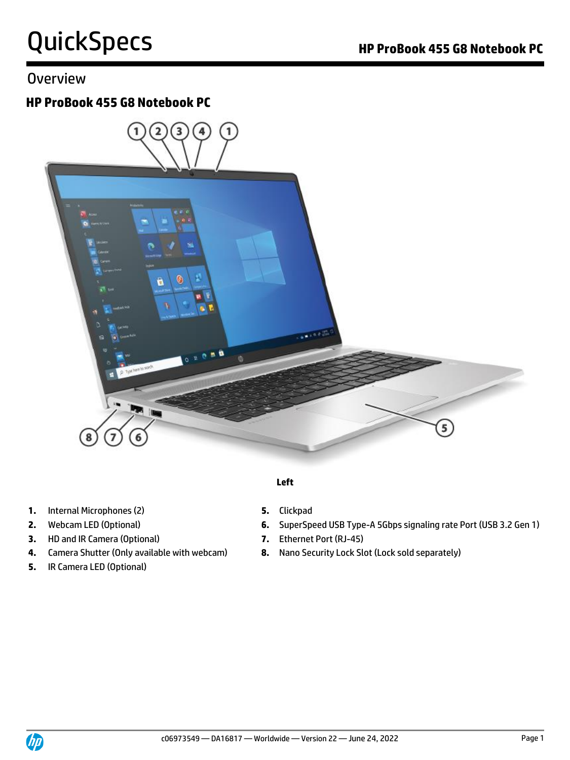## **Overview**

## **HP ProBook 455 G8 Notebook PC**



- **1.** Internal Microphones (2) **5.** Clickpad
- 
- **3.** HD and IR Camera (Optional) **7.** Ethernet Port (RJ-45)
- **4.** Camera Shutter (Only available with webcam) **8.** Nano Security Lock Slot (Lock sold separately)
- **5.** IR Camera LED (Optional)
- **Left**
- 
- **2.** Webcam LED (Optional) **6.** SuperSpeed USB Type-A 5Gbps signaling rate Port (USB 3.2 Gen 1)
	-
	-

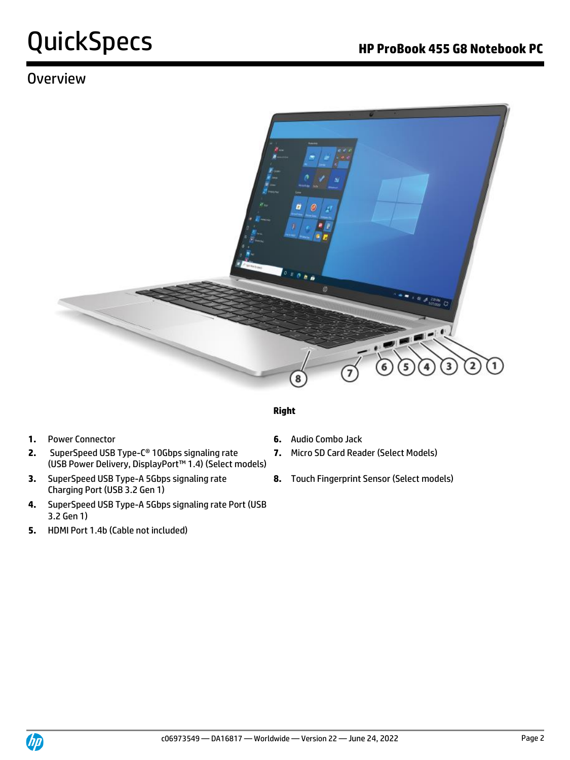## **Overview**



#### **Right**

- 
- **2.** SuperSpeed USB Type-C® 10Gbps signaling rate (USB Power Delivery, DisplayPort™ 1.4) (Select models)
- **3.** SuperSpeed USB Type-A 5Gbps signaling rate Charging Port (USB 3.2 Gen 1)
- **4.** SuperSpeed USB Type-A 5Gbps signaling rate Port (USB 3.2 Gen 1)
- **5.** HDMI Port 1.4b (Cable not included)
- **1.** Power Connector **6.** Audio Combo Jack
	- **7.** Micro SD Card Reader (Select Models)
	- **8.** Touch Fingerprint Sensor (Select models)

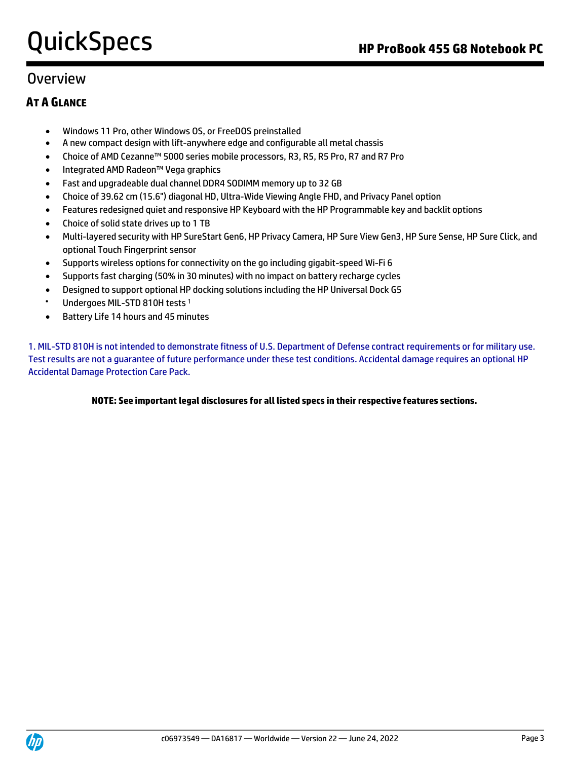## Overview

### **AT A GLANCE**

- Windows 11 Pro, other Windows OS, or FreeDOS preinstalled
- A new compact design with lift-anywhere edge and configurable all metal chassis
- Choice of AMD Cezanne™ 5000 series mobile processors, R3, R5, R5 Pro, R7 and R7 Pro
- Integrated AMD Radeon™ Vega graphics
- Fast and upgradeable dual channel DDR4 SODIMM memory up to 32 GB
- Choice of 39.62 cm (15.6") diagonal HD, Ultra-Wide Viewing Angle FHD, and Privacy Panel option
- Features redesigned quiet and responsive HP Keyboard with the HP Programmable key and backlit options
- Choice of solid state drives up to 1 TB
- Multi-layered security with HP SureStart Gen6, HP Privacy Camera, HP Sure View Gen3, HP Sure Sense, HP Sure Click, and optional Touch Fingerprint sensor
- Supports wireless options for connectivity on the go including gigabit-speed Wi-Fi 6
- Supports fast charging (50% in 30 minutes) with no impact on battery recharge cycles
- Designed to support optional HP docking solutions including the HP Universal Dock G5
- Undergoes MIL-STD 810H tests<sup>1</sup>
- Battery Life 14 hours and 45 minutes

1. MIL-STD 810H is not intended to demonstrate fitness of U.S. Department of Defense contract requirements or for military use. Test results are not a guarantee of future performance under these test conditions. Accidental damage requires an optional HP Accidental Damage Protection Care Pack.

**NOTE: See important legal disclosures for all listed specs in their respective features sections.**

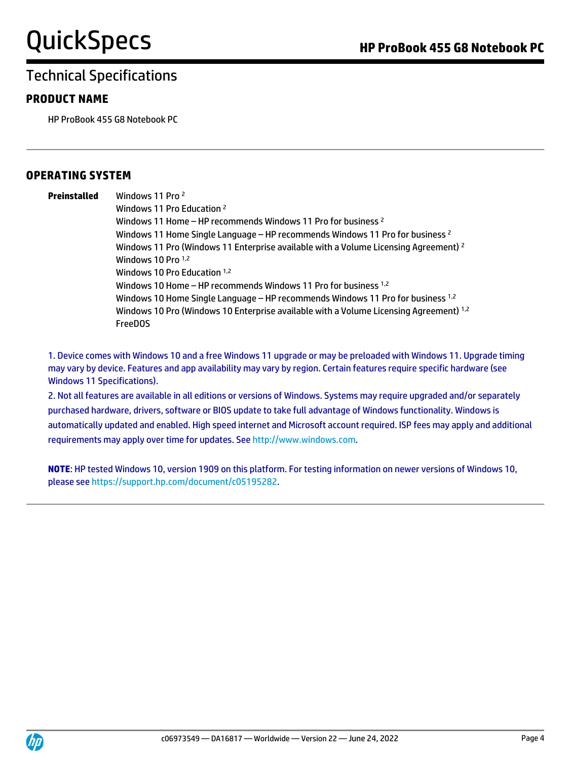### **PRODUCT NAME**

HP ProBook 455 G8 Notebook PC

### **OPERATING SYSTEM**

**Preinstalled** Windows 11 Pro <sup>2</sup> Windows 11 Pro Education <sup>2</sup> Windows 11 Home – HP recommends Windows 11 Pro for business <sup>2</sup> Windows 11 Home Single Language - HP recommends Windows 11 Pro for business<sup>2</sup> Windows 11 Pro (Windows 11 Enterprise available with a Volume Licensing Agreement) <sup>2</sup> Windows 10 Pro 1,2 Windows 10 Pro Education 1,2 Windows 10 Home – HP recommends Windows 11 Pro for business <sup>1,2</sup> Windows 10 Home Single Language – HP recommends Windows 11 Pro for business 1,2 Windows 10 Pro (Windows 10 Enterprise available with a Volume Licensing Agreement) <sup>1,2</sup> FreeDOS

1. Device comes with Windows 10 and a free Windows 11 upgrade or may be preloaded with Windows 11. Upgrade timing may vary by device. Features and app availability may vary by region. Certain features require specific hardware (see Windows 11 Specifications).

2. Not all features are available in all editions or versions of Windows. Systems may require upgraded and/or separately purchased hardware, drivers, software or BIOS update to take full advantage of Windows functionality. Windows is automatically updated and enabled. High speed internet and Microsoft account required. ISP fees may apply and additional requirements may apply over time for updates. Se[e http://www.windows.com.](http://www.windows.com/)

**NOTE**: HP tested Windows 10, version 1909 on this platform. For testing information on newer versions of Windows 10, please se[e https://support.hp.com/document/c05195282.](https://support.hp.com/document/c05195282)

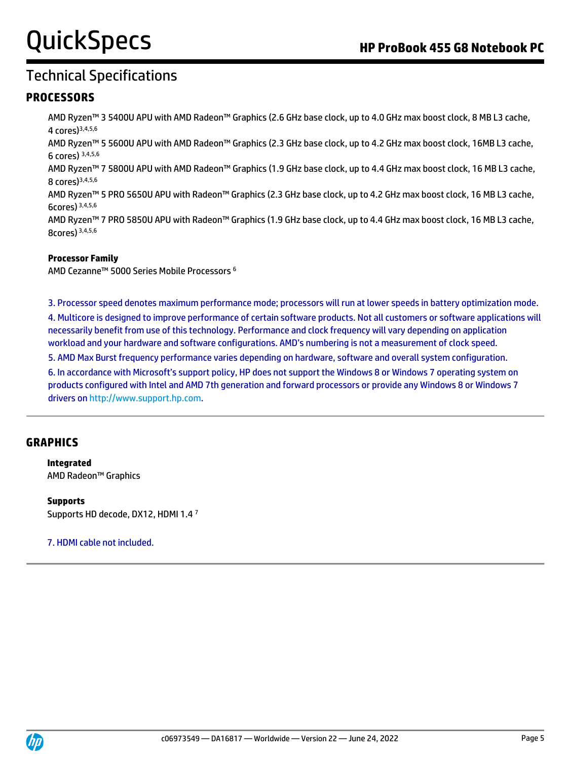### **PROCESSORS**

AMD Ryzen™ 3 5400U APU with AMD Radeon™ Graphics (2.6 GHz base clock, up to 4.0 GHz max boost clock, 8 MB L3 cache, 4 cores)3,4,5,6 AMD Ryzen™ 5 5600U APU with AMD Radeon™ Graphics (2.3 GHz base clock, up to 4.2 GHz max boost clock, 16MB L3 cache, 6 cores) 3,4,5,6 AMD Ryzen™ 7 5800U APU with AMD Radeon™ Graphics (1.9 GHz base clock, up to 4.4 GHz max boost clock, 16 MB L3 cache, 8 cores)3,4,5,6 AMD Ryzen™ 5 PRO 5650U APU with Radeon™ Graphics (2.3 GHz base clock, up to 4.2 GHz max boost clock, 16 MB L3 cache, 6cores) 3,4,5,6 AMD Ryzen™ 7 PRO 5850U APU with Radeon™ Graphics (1.9 GHz base clock, up to 4.4 GHz max boost clock, 16 MB L3 cache, 8cores) 3,4,5,6

#### **Processor Family**

AMD Cezanne™ 5000 Series Mobile Processors <sup>6</sup>

3. Processor speed denotes maximum performance mode; processors will run at lower speeds in battery optimization mode. 4. Multicore is designed to improve performance of certain software products. Not all customers or software applications will necessarily benefit from use of this technology. Performance and clock frequency will vary depending on application workload and your hardware and software configurations. AMD's numbering is not a measurement of clock speed. 5. AMD Max Burst frequency performance varies depending on hardware, software and overall system configuration.

6. In accordance with Microsoft's support policy, HP does not support the Windows 8 or Windows 7 operating system on products configured with Intel and AMD 7th generation and forward processors or provide any Windows 8 or Windows 7 drivers o[n http://www.support.hp.com.](http://www.support.hp.com/)

### **GRAPHICS**

**Integrated** AMD Radeon™ Graphics

#### **Supports**

Supports HD decode, DX12, HDMI 1.4 <sup>7</sup>

7. HDMI cable not included.

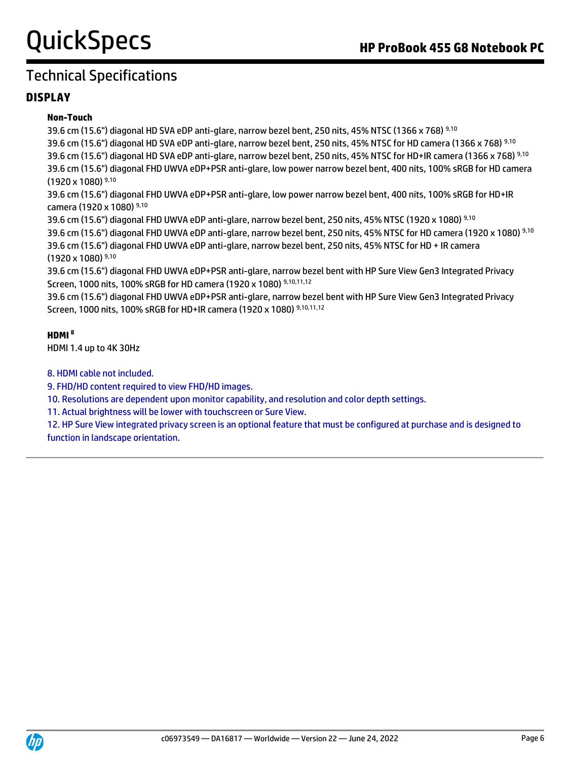### **DISPLAY**

#### **Non-Touch**

39.6 cm (15.6") diagonal HD SVA eDP anti-glare, narrow bezel bent, 250 nits, 45% NTSC (1366 x 768) 9,10 39.6 cm (15.6") diagonal HD SVA eDP anti-glare, narrow bezel bent, 250 nits, 45% NTSC for HD camera (1366 x 768)  $9,10$ 39.6 cm (15.6") diagonal HD SVA eDP anti-glare, narrow bezel bent, 250 nits, 45% NTSC for HD+IR camera (1366 x 768) 9,10 39.6 cm (15.6") diagonal FHD UWVA eDP+PSR anti-glare, low power narrow bezel bent, 400 nits, 100% sRGB for HD camera (1920 x 1080) 9,10

39.6 cm (15.6") diagonal FHD UWVA eDP+PSR anti-glare, low power narrow bezel bent, 400 nits, 100% sRGB for HD+IR camera (1920 x 1080) 9,10

39.6 cm (15.6") diagonal FHD UWVA eDP anti-glare, narrow bezel bent, 250 nits, 45% NTSC (1920 x 1080) 9,10 39.6 cm (15.6") diagonal FHD UWVA eDP anti-glare, narrow bezel bent, 250 nits, 45% NTSC for HD camera (1920 x 1080) 9,10 39.6 cm (15.6") diagonal FHD UWVA eDP anti-glare, narrow bezel bent, 250 nits, 45% NTSC for HD + IR camera  $(1920 \times 1080)$ <sup>9,10</sup>

39.6 cm (15.6") diagonal FHD UWVA eDP+PSR anti-glare, narrow bezel bent with HP Sure View Gen3 Integrated Privacy Screen, 1000 nits, 100% sRGB for HD camera (1920 x 1080) 9,10,11,12

39.6 cm (15.6") diagonal FHD UWVA eDP+PSR anti-glare, narrow bezel bent with HP Sure View Gen3 Integrated Privacy Screen, 1000 nits, 100% sRGB for HD+IR camera (1920 x 1080) 9,10,11,12

#### **HDMI <sup>8</sup>**

HDMI 1.4 up to 4K 30Hz

8. HDMI cable not included.

9. FHD/HD content required to view FHD/HD images.

10. Resolutions are dependent upon monitor capability, and resolution and color depth settings.

11. Actual brightness will be lower with touchscreen or Sure View.

12. HP Sure View integrated privacy screen is an optional feature that must be configured at purchase and is designed to function in landscape orientation.

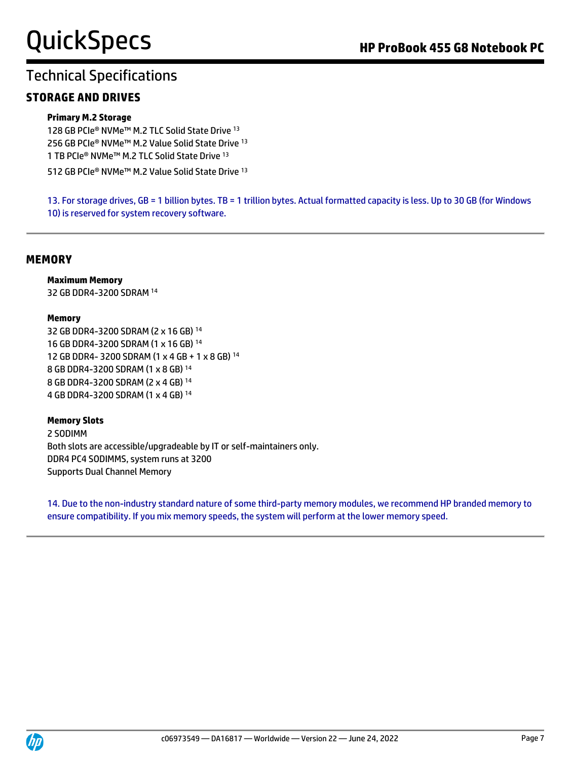## **STORAGE AND DRIVES**

### **Primary M.2 Storage**

128 GB PCIe® NVMe™ M.2 TLC Solid State Drive 13 256 GB PCIe® NVMe™ M.2 Value Solid State Drive 13 1 TB PCIe® NVMe™ M.2 TLC Solid State Drive <sup>13</sup> 512 GB PCIe® NVMe™ M.2 Value Solid State Drive <sup>13</sup>

13. For storage drives, GB = 1 billion bytes. TB = 1 trillion bytes. Actual formatted capacity is less. Up to 30 GB (for Windows 10) is reserved for system recovery software.

### **MEMORY**

#### **Maximum Memory**

32 GB DDR4-3200 SDRAM <sup>14</sup>

#### **Memory**

32 GB DDR4-3200 SDRAM (2 x 16 GB) <sup>14</sup> 16 GB DDR4-3200 SDRAM (1 x 16 GB) <sup>14</sup> 12 GB DDR4- 3200 SDRAM (1 x 4 GB + 1 x 8 GB) <sup>14</sup> 8 GB DDR4-3200 SDRAM (1 x 8 GB) <sup>14</sup> 8 GB DDR4-3200 SDRAM (2 x 4 GB) <sup>14</sup> 4 GB DDR4-3200 SDRAM (1 x 4 GB) <sup>14</sup>

#### **Memory Slots** 2 SODIMM Both slots are accessible/upgradeable by IT or self-maintainers only. DDR4 PC4 SODIMMS, system runs at 3200 Supports Dual Channel Memory

14. Due to the non-industry standard nature of some third-party memory modules, we recommend HP branded memory to ensure compatibility. If you mix memory speeds, the system will perform at the lower memory speed.

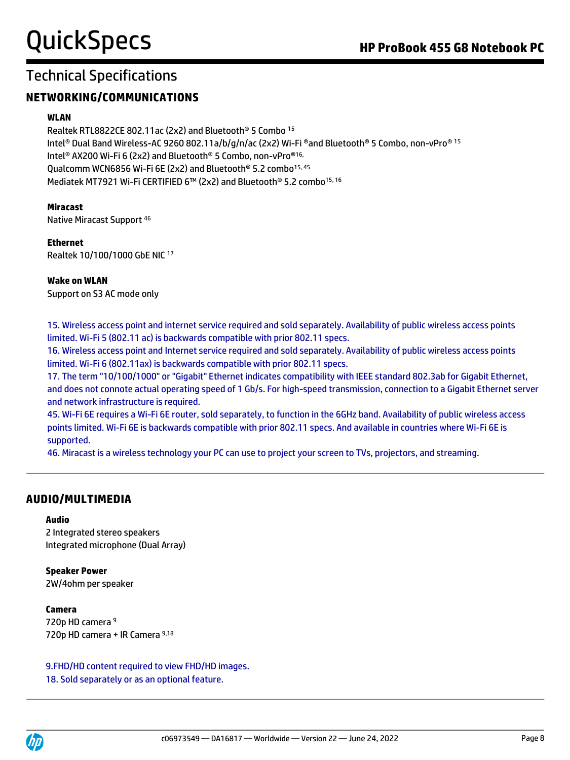### **NETWORKING/COMMUNICATIONS**

#### **WLAN**

Realtek RTL8822CE 802.11ac (2x2) and Bluetooth® 5 Combo <sup>15</sup> Intel® Dual Band Wireless-AC 9260 802.11a/b/g/n/ac (2x2) Wi-Fi ®and Bluetooth® 5 Combo, non-vPro® <sup>15</sup> Intel® AX200 Wi-Fi 6 (2x2) and Bluetooth® 5 Combo, non-vPro®16, Qualcomm WCN6856 Wi-Fi 6E (2x2) and Bluetooth<sup>®</sup> 5.2 combo<sup>15, 45</sup> Mediatek MT7921 Wi-Fi CERTIFIED 6™ (2x2) and Bluetooth® 5.2 combo<sup>15, 16</sup>

**Miracast** Native Miracast Support <sup>46</sup>

**Ethernet** Realtek 10/100/1000 GbE NIC <sup>17</sup>

#### **Wake on WLAN**

Support on S3 AC mode only

15. Wireless access point and internet service required and sold separately. Availability of public wireless access points limited. Wi-Fi 5 (802.11 ac) is backwards compatible with prior 802.11 specs.

16. Wireless access point and Internet service required and sold separately. Availability of public wireless access points limited. Wi-Fi 6 (802.11ax) is backwards compatible with prior 802.11 specs.

17. The term "10/100/1000" or "Gigabit" Ethernet indicates compatibility with IEEE standard 802.3ab for Gigabit Ethernet, and does not connote actual operating speed of 1 Gb/s. For high-speed transmission, connection to a Gigabit Ethernet server and network infrastructure is required.

45. Wi-Fi 6E requires a Wi-Fi 6E router, sold separately, to function in the 6GHz band. Availability of public wireless access points limited. Wi-Fi 6E is backwards compatible with prior 802.11 specs. And available in countries where Wi-Fi 6E is supported.

46. Miracast is a wireless technology your PC can use to project your screen to TVs, projectors, and streaming.

### **AUDIO/MULTIMEDIA**

#### **Audio**

2 Integrated stereo speakers Integrated microphone (Dual Array)

**Speaker Power**  2W/4ohm per speaker

**Camera** 720p HD camera <sup>9</sup> 720p HD camera + IR Camera 9,18

9.FHD/HD content required to view FHD/HD images. 18. Sold separately or as an optional feature.

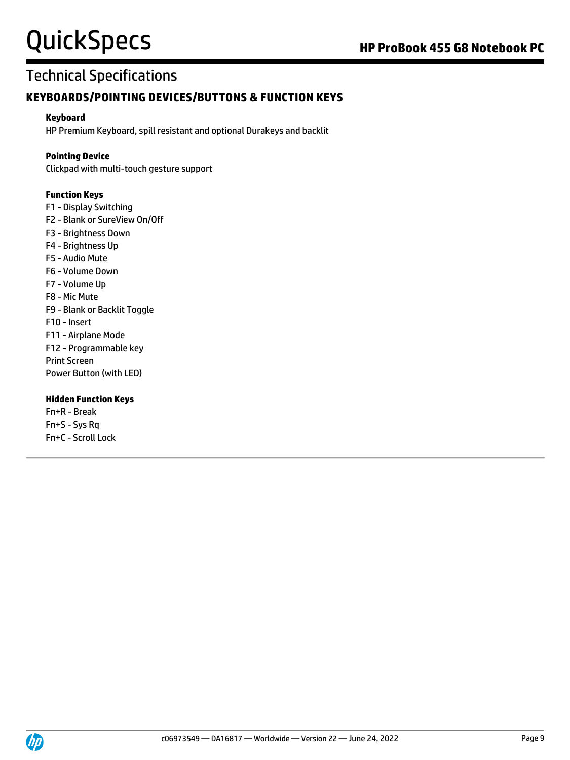## Technical Specifications

### **KEYBOARDS/POINTING DEVICES/BUTTONS & FUNCTION KEYS**

#### **Keyboard**

HP Premium Keyboard, spill resistant and optional Durakeys and backlit

#### **Pointing Device**

Clickpad with multi-touch gesture support

#### **Function Keys**

F1 - Display Switching F2 - Blank or SureView On/Off F3 - Brightness Down F4 - Brightness Up F5 - Audio Mute F6 - Volume Down F7 - Volume Up F8 - Mic Mute F9 - Blank or Backlit Toggle F10 - Insert F11 - Airplane Mode F12 - Programmable key Print Screen Power Button (with LED)

#### **Hidden Function Keys**

Fn+R - Break Fn+S - Sys Rq Fn+C - Scroll Lock

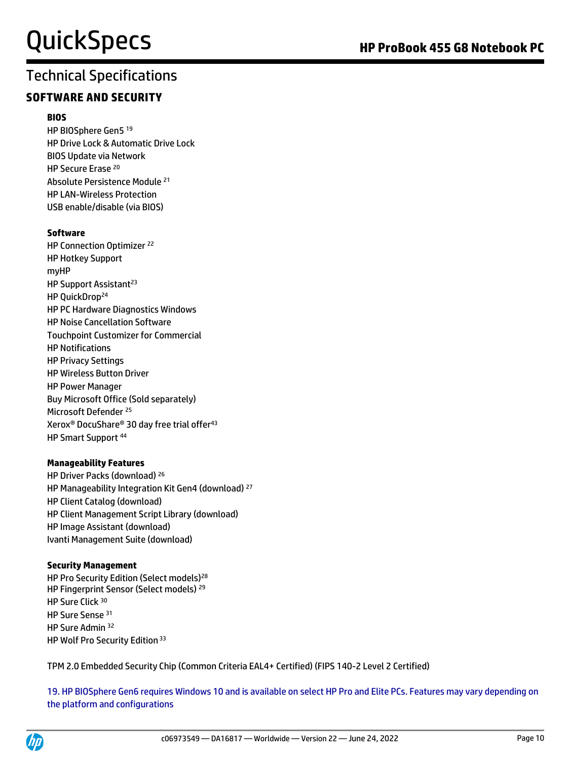## Technical Specifications

### **SOFTWARE AND SECURITY**

#### **BIOS**

HP BIOSphere Gen5 19 HP Drive Lock & Automatic Drive Lock BIOS Update via Network HP Secure Erase <sup>20</sup> Absolute Persistence Module <sup>21</sup> HP LAN-Wireless Protection USB enable/disable (via BIOS)

#### **Software**

HP Connection Optimizer <sup>22</sup> HP Hotkey Support myHP HP Support Assistant<sup>23</sup> HP QuickDrop<sup>24</sup> HP PC Hardware Diagnostics Windows HP Noise Cancellation Software Touchpoint Customizer for Commercial HP Notifications HP Privacy Settings HP Wireless Button Driver HP Power Manager Buy Microsoft Office (Sold separately) Microsoft Defender <sup>25</sup> Xerox® DocuShare® 30 day free trial offer<sup>43</sup> HP Smart Support<sup>44</sup>

#### **Manageability Features**

HP Driver Packs (download) <sup>26</sup> HP Manageability Integration Kit Gen4 (download) <sup>27</sup> HP Client Catalog (download) HP Client Management Script Library (download) HP Image Assistant (download) Ivanti Management Suite (download)

#### **Security Management**

HP Pro Security Edition (Select models)<sup>28</sup> HP Fingerprint Sensor (Select models) <sup>29</sup> HP Sure Click 30 HP Sure Sense <sup>31</sup> HP Sure Admin <sup>32</sup> HP Wolf Pro Security Edition <sup>33</sup>

TPM 2.0 Embedded Security Chip (Common Criteria EAL4+ Certified) (FIPS 140-2 Level 2 Certified)

19. HP BIOSphere Gen6 requires Windows 10 and is available on select HP Pro and Elite PCs. Features may vary depending on the platform and configurations

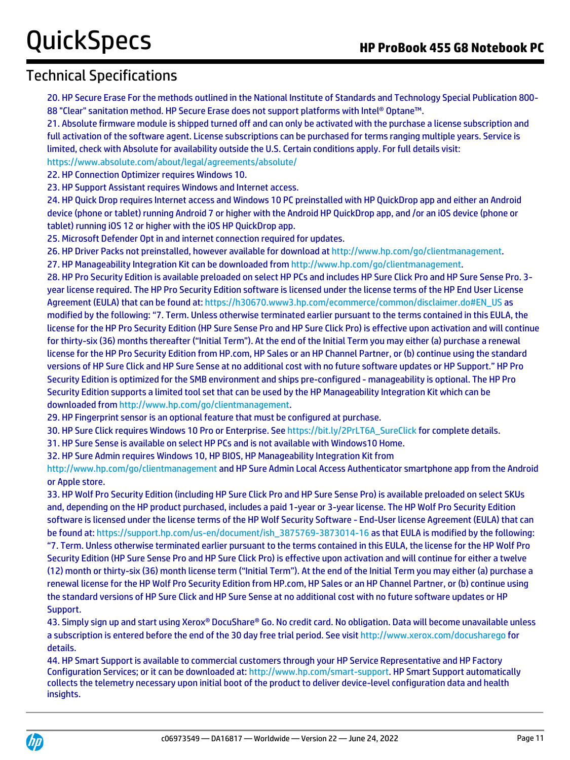20. HP Secure Erase For the methods outlined in the National Institute of Standards and Technology Special Publication 800- 88 "Clear" sanitation method. HP Secure Erase does not support platforms with Intel® Optane™.

21. Absolute firmware module is shipped turned off and can only be activated with the purchase a license subscription and full activation of the software agent. License subscriptions can be purchased for terms ranging multiple years. Service is limited, check with Absolute for availability outside the U.S. Certain conditions apply. For full details visit: <https://www.absolute.com/about/legal/agreements/absolute/>

22. HP Connection Optimizer requires Windows 10.

23. HP Support Assistant requires Windows and Internet access.

24. HP Quick Drop requires Internet access and Windows 10 PC preinstalled with HP QuickDrop app and either an Android device (phone or tablet) running Android 7 or higher with the Android HP QuickDrop app, and /or an iOS device (phone or tablet) running iOS 12 or higher with the iOS HP QuickDrop app.

25. Microsoft Defender Opt in and internet connection required for updates.

26. HP Driver Packs not preinstalled, however available for download at [http://www.hp.com/go/clientmanagement.](http://www.hp.com/go/clientmanagement)

27. HP Manageability Integration Kit can be downloaded fro[m http://www.hp.com/go/clientmanagement.](http://www.hp.com/go/clientmanagement)

28. HP Pro Security Edition is available preloaded on select HP PCs and includes HP Sure Click Pro and HP Sure Sense Pro. 3 year license required. The HP Pro Security Edition software is licensed under the license terms of the HP End User License Agreement (EULA) that can be found at[: https://h30670.www3.hp.com/ecommerce/common/disclaimer.do#EN\\_US](https://h30670.www3.hp.com/ecommerce/common/disclaimer.do#EN_US) as modified by the following: "7. Term. Unless otherwise terminated earlier pursuant to the terms contained in this EULA, the license for the HP Pro Security Edition (HP Sure Sense Pro and HP Sure Click Pro) is effective upon activation and will continue for thirty-six (36) months thereafter ("Initial Term"). At the end of the Initial Term you may either (a) purchase a renewal license for the HP Pro Security Edition from HP.com, HP Sales or an HP Channel Partner, or (b) continue using the standard versions of HP Sure Click and HP Sure Sense at no additional cost with no future software updates or HP Support." HP Pro Security Edition is optimized for the SMB environment and ships pre-configured - manageability is optional. The HP Pro Security Edition supports a limited tool set that can be used by the HP Manageability Integration Kit which can be downloaded fro[m http://www.hp.com/go/clientmanagement.](http://www.hp.com/go/clientmanagement)

29. HP Fingerprint sensor is an optional feature that must be configured at purchase.

30. HP Sure Click requires Windows 10 Pro or Enterprise. Se[e https://bit.ly/2PrLT6A\\_SureClick](https://bit.ly/2PrLT6A_SureClick) for complete details.

31. HP Sure Sense is available on select HP PCs and is not available with Windows10 Home.

32. HP Sure Admin requires Windows 10, HP BIOS, HP Manageability Integration Kit from

<http://www.hp.com/go/clientmanagement> and HP Sure Admin Local Access Authenticator smartphone app from the Android or Apple store.

33. HP Wolf Pro Security Edition (including HP Sure Click Pro and HP Sure Sense Pro) is available preloaded on select SKUs and, depending on the HP product purchased, includes a paid 1-year or 3-year license. The HP Wolf Pro Security Edition software is licensed under the license terms of the HP Wolf Security Software - End-User license Agreement (EULA) that can be found at: [https://support.hp.com/us-en/document/ish\\_3875769-3873014-16](https://support.hp.com/us-en/document/ish_3875769-3873014-16) as that EULA is modified by the following: "7. Term. Unless otherwise terminated earlier pursuant to the terms contained in this EULA, the license for the HP Wolf Pro Security Edition (HP Sure Sense Pro and HP Sure Click Pro) is effective upon activation and will continue for either a twelve (12) month or thirty-six (36) month license term ("Initial Term"). At the end of the Initial Term you may either (a) purchase a renewal license for the HP Wolf Pro Security Edition from HP.com, HP Sales or an HP Channel Partner, or (b) continue using the standard versions of HP Sure Click and HP Sure Sense at no additional cost with no future software updates or HP Support.

43. Simply sign up and start using Xerox® DocuShare® Go. No credit card. No obligation. Data will become unavailable unless a subscription is entered before the end of the 30 day free trial period. See visit http://www.xerox.com/docusharego for details.

44. HP Smart Support is available to commercial customers through your HP Service Representative and HP Factory Configuration Services; or it can be downloaded at[: http://www.hp.com/smart-support.](http://www.hp.com/smart-support) HP Smart Support automatically collects the telemetry necessary upon initial boot of the product to deliver device-level configuration data and health insights.

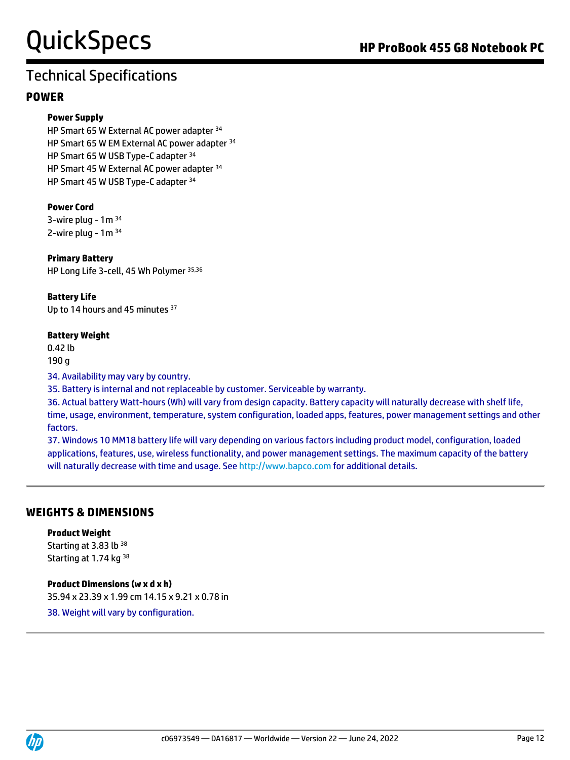## Technical Specifications

### **POWER**

#### **Power Supply**

HP Smart 65 W External AC power adapter <sup>34</sup> HP Smart 65 W EM External AC power adapter <sup>34</sup> HP Smart 65 W USB Type-C adapter <sup>34</sup> HP Smart 45 W External AC power adapter <sup>34</sup> HP Smart 45 W USB Type-C adapter <sup>34</sup>

#### **Power Cord**

3-wire plug -  $1<sup>34</sup>$ 2-wire plug -  $1<sup>34</sup>$ 

#### **Primary Battery**  HP Long Life 3-cell, 45 Wh Polymer 35,36

**Battery Life** Up to 14 hours and 45 minutes <sup>37</sup>

#### **Battery Weight**

0.42 lb 190 g

34. Availability may vary by country.

35. Battery is internal and not replaceable by customer. Serviceable by warranty.

36. Actual battery Watt-hours (Wh) will vary from design capacity. Battery capacity will naturally decrease with shelf life, time, usage, environment, temperature, system configuration, loaded apps, features, power management settings and other factors.

37. Windows 10 MM18 battery life will vary depending on various factors including product model, configuration, loaded applications, features, use, wireless functionality, and power management settings. The maximum capacity of the battery will naturally decrease with time and usage. See http://www.bapco.com for additional details.

### **WEIGHTS & DIMENSIONS**

#### **Product Weight**

Starting at 3.83 lb 38 Starting at 1.74 kg 38

#### **Product Dimensions (w x d x h)**

35.94 x 23.39 x 1.99 cm 14.15 x 9.21 x 0.78 in

38. Weight will vary by configuration.

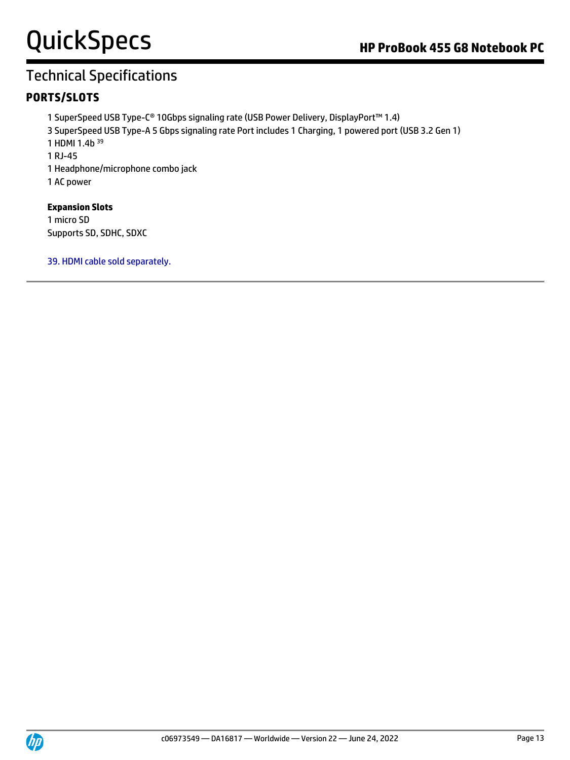## **PORTS/SLOTS**

1 SuperSpeed USB Type-C® 10Gbps signaling rate (USB Power Delivery, DisplayPort™ 1.4) 3 SuperSpeed USB Type-A 5 Gbps signaling rate Port includes 1 Charging, 1 powered port (USB 3.2 Gen 1) 1 HDMI 1.4b <sup>39</sup> 1 RJ-45 1 Headphone/microphone combo jack 1 AC power

### **Expansion Slots**

1 micro SD Supports SD, SDHC, SDXC

39. HDMI cable sold separately.

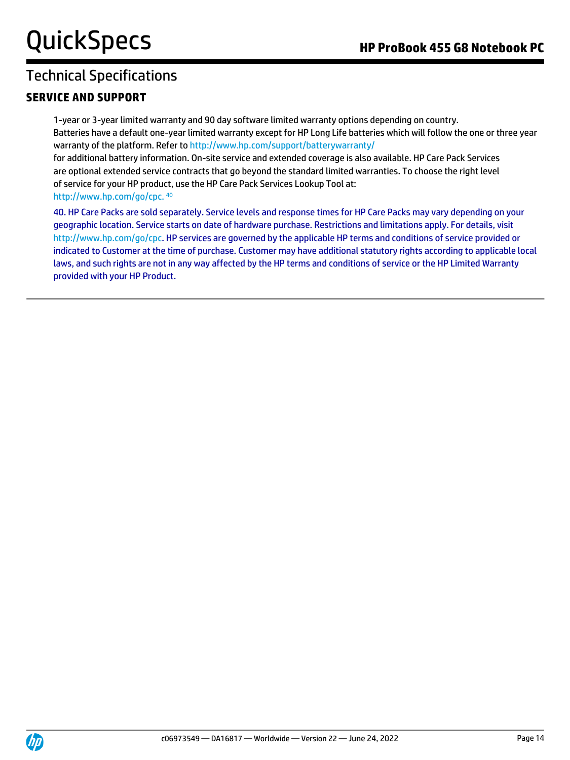### **SERVICE AND SUPPORT**

1-year or 3-year limited warranty and 90 day software limited warranty options depending on country. Batteries have a default one-year limited warranty except for HP Long Life batteries which will follow the one or three year warranty of the platform. Refer t[o http://www.hp.com/support/batterywarranty/](http://www.hp.com/support/batterywarranty/)

for additional battery information. On-site service and extended coverage is also available. HP Care Pack Services are optional extended service contracts that go beyond the standard limited warranties. To choose the right level of service for your HP product, use the HP Care Pack Services Lookup Tool at: <http://www.hp.com/go/cpc.><sup>40</sup>

40. HP Care Packs are sold separately. Service levels and response times for HP Care Packs may vary depending on your geographic location. Service starts on date of hardware purchase. Restrictions and limitations apply. For details, visit [http://www.hp.com/go/cpc.](http://www.hp.com/go/cpc) HP services are governed by the applicable HP terms and conditions of service provided or indicated to Customer at the time of purchase. Customer may have additional statutory rights according to applicable local laws, and such rights are not in any way affected by the HP terms and conditions of service or the HP Limited Warranty provided with your HP Product.

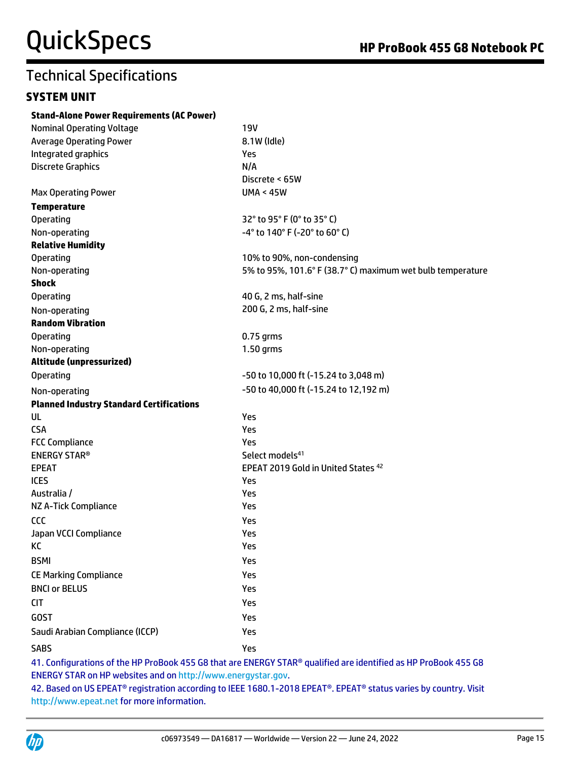### **SYSTEM UNIT**

| <b>Stand-Alone Power Requirements (AC Power)</b> |                                                                                                                 |
|--------------------------------------------------|-----------------------------------------------------------------------------------------------------------------|
| <b>Nominal Operating Voltage</b>                 | <b>19V</b>                                                                                                      |
| <b>Average Operating Power</b>                   | 8.1W (Idle)                                                                                                     |
| Integrated graphics                              | Yes                                                                                                             |
| <b>Discrete Graphics</b>                         | N/A                                                                                                             |
|                                                  | Discrete < 65W                                                                                                  |
| <b>Max Operating Power</b>                       | <b>UMA &lt; 45W</b>                                                                                             |
| <b>Temperature</b>                               |                                                                                                                 |
| <b>Operating</b>                                 | 32° to 95° F (0° to 35° C)                                                                                      |
| Non-operating                                    | -4° to 140° F (-20° to 60° C)                                                                                   |
| <b>Relative Humidity</b>                         |                                                                                                                 |
| <b>Operating</b>                                 | 10% to 90%, non-condensing                                                                                      |
| Non-operating                                    | 5% to 95%, 101.6° F (38.7° C) maximum wet bulb temperature                                                      |
| <b>Shock</b>                                     |                                                                                                                 |
| <b>Operating</b>                                 | 40 G, 2 ms, half-sine                                                                                           |
| Non-operating                                    | 200 G, 2 ms, half-sine                                                                                          |
| <b>Random Vibration</b>                          |                                                                                                                 |
| <b>Operating</b>                                 | $0.75$ grms                                                                                                     |
| Non-operating                                    | 1.50 grms                                                                                                       |
| Altitude (unpressurized)                         |                                                                                                                 |
| <b>Operating</b>                                 | -50 to 10,000 ft (-15.24 to 3,048 m)                                                                            |
| Non-operating                                    | -50 to 40,000 ft (-15.24 to 12,192 m)                                                                           |
| <b>Planned Industry Standard Certifications</b>  |                                                                                                                 |
| UL                                               | Yes                                                                                                             |
| <b>CSA</b>                                       | Yes                                                                                                             |
| <b>FCC Compliance</b>                            | Yes                                                                                                             |
| <b>ENERGY STAR®</b>                              | Select models <sup>41</sup>                                                                                     |
| <b>EPEAT</b>                                     | EPEAT 2019 Gold in United States 42                                                                             |
| <b>ICES</b>                                      | Yes                                                                                                             |
| Australia /                                      | Yes                                                                                                             |
| NZ A-Tick Compliance                             | Yes                                                                                                             |
| <b>CCC</b>                                       | Yes                                                                                                             |
| Japan VCCI Compliance                            | Yes                                                                                                             |
| KC                                               | Yes                                                                                                             |
| <b>BSMI</b>                                      | Yes                                                                                                             |
| <b>CE Marking Compliance</b>                     | Yes                                                                                                             |
| <b>BNCI or BELUS</b>                             | Yes                                                                                                             |
| <b>CIT</b>                                       | Yes                                                                                                             |
| <b>GOST</b>                                      | Yes                                                                                                             |
| Saudi Arabian Compliance (ICCP)                  | Yes                                                                                                             |
| <b>SABS</b>                                      | Yes                                                                                                             |
|                                                  | 41. Configurations of the HP ProBook 455 G8 that are ENERGY STAR® qualified are identified as HP ProBook 455 G8 |

ENERGY STAR on HP websites and o[n http://www.energystar.gov.](http://www.energystar.gov/)

42. Based on US EPEAT® registration according to IEEE 1680.1-2018 EPEAT®. EPEAT® status varies by country. Visit http://www.epeat.net for more information.

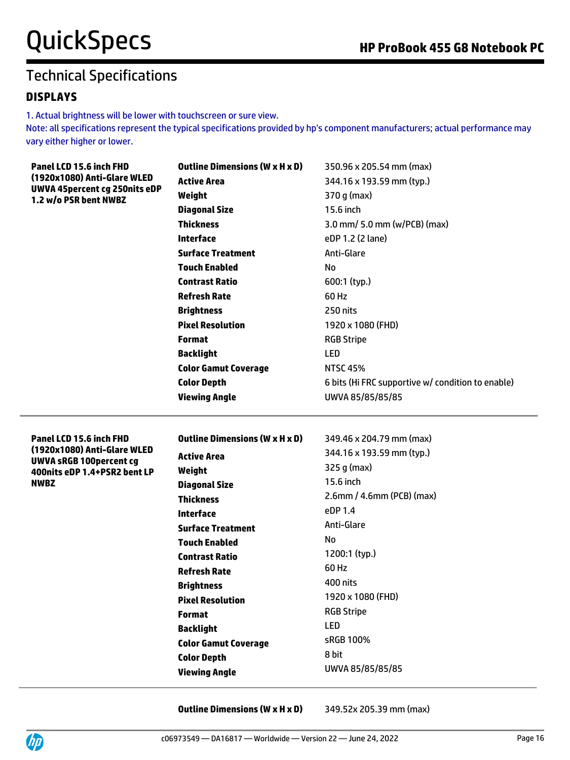## **DISPLAYS**

1. Actual brightness will be lower with touchscreen or sure view.

Note: all specifications represent the typical specifications provided by hp's component manufacturers; actual performance may vary either higher or lower.

| Panel LCD 15.6 inch FHD                                  | <b>Outline Dimensions (W x H x D)</b> | 350.96 x 205.54 mm (max)                          |  |
|----------------------------------------------------------|---------------------------------------|---------------------------------------------------|--|
| (1920x1080) Anti-Glare WLED                              | <b>Active Area</b>                    | 344.16 x 193.59 mm (typ.)                         |  |
| UWVA 45 percent cg 250 nits eDP<br>1.2 w/o PSR bent NWBZ | Weight                                | 370 g (max)                                       |  |
|                                                          | <b>Diagonal Size</b>                  | 15.6 inch                                         |  |
|                                                          | <b>Thickness</b>                      | 3.0 mm/ 5.0 mm (w/PCB) (max)                      |  |
|                                                          | <b>Interface</b>                      | eDP 1.2 (2 lane)                                  |  |
|                                                          | <b>Surface Treatment</b>              | Anti-Glare                                        |  |
|                                                          | <b>Touch Enabled</b>                  | No                                                |  |
|                                                          | <b>Contrast Ratio</b>                 | 600:1 (typ.)                                      |  |
|                                                          | <b>Refresh Rate</b>                   | 60 Hz                                             |  |
|                                                          | <b>Brightness</b>                     | 250 nits                                          |  |
|                                                          | <b>Pixel Resolution</b>               | 1920 x 1080 (FHD)                                 |  |
|                                                          | Format                                | <b>RGB Stripe</b>                                 |  |
|                                                          | <b>Backlight</b>                      | LED                                               |  |
|                                                          | <b>Color Gamut Coverage</b>           | <b>NTSC 45%</b>                                   |  |
|                                                          | <b>Color Depth</b>                    | 6 bits (Hi FRC supportive w/ condition to enable) |  |
|                                                          | <b>Viewing Angle</b>                  | UWVA 85/85/85/85                                  |  |
|                                                          |                                       |                                                   |  |
| Panel LCD 15.6 inch FHD<br>(1920x1080) Anti-Glare WLED   | <b>Outline Dimensions (W x H x D)</b> | 349.46 x 204.79 mm (max)                          |  |
| <b>UWVA sRGB 100percent cg</b>                           | <b>Active Area</b>                    | 344.16 x 193.59 mm (typ.)                         |  |
|                                                          |                                       |                                                   |  |
| 400nits eDP 1.4+PSR2 bent LP                             | Weight                                | 325 g (max)                                       |  |
| <b>NWBZ</b>                                              | <b>Diagonal Size</b>                  | 15.6 inch                                         |  |
|                                                          | <b>Thickness</b>                      | 2.6mm / 4.6mm (PCB) (max)                         |  |
|                                                          | <b>Interface</b>                      | eDP 1.4                                           |  |
|                                                          | <b>Surface Treatment</b>              | Anti-Glare                                        |  |
|                                                          | <b>Touch Enabled</b>                  | No                                                |  |
|                                                          | <b>Contrast Ratio</b>                 | 1200:1 (typ.)                                     |  |
|                                                          | <b>Refresh Rate</b>                   | 60 Hz                                             |  |
|                                                          | <b>Brightness</b>                     | 400 nits                                          |  |
|                                                          | <b>Pixel Resolution</b>               | 1920 x 1080 (FHD)                                 |  |
|                                                          | <b>Format</b>                         | <b>RGB Stripe</b>                                 |  |
|                                                          | <b>Backlight</b>                      | LED                                               |  |
|                                                          | <b>Color Gamut Coverage</b>           | sRGB 100%                                         |  |
|                                                          | <b>Color Depth</b>                    | 8 bit                                             |  |
|                                                          | <b>Viewing Angle</b>                  | UWVA 85/85/85/85                                  |  |

**Outline Dimensions (W x H x D)** 349.52x 205.39 mm (max)

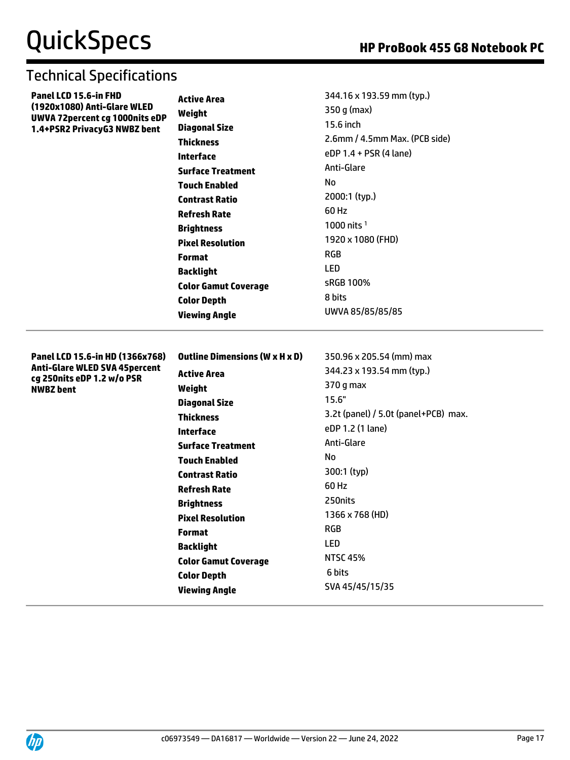| Panel LCD 15.6-in FHD                                            | <b>Active Area</b>                    | 344.16 x 193.59 mm (typ.)            |
|------------------------------------------------------------------|---------------------------------------|--------------------------------------|
| (1920x1080) Anti-Glare WLED                                      | Weight                                | $350$ g (max)                        |
| UWVA 72 percent cg 1000 nits eDP<br>1.4+PSR2 PrivacyG3 NWBZ bent | <b>Diagonal Size</b>                  | 15.6 inch                            |
|                                                                  | <b>Thickness</b>                      | 2.6mm / 4.5mm Max. (PCB side)        |
|                                                                  | <b>Interface</b>                      | eDP 1.4 + PSR (4 lane)               |
|                                                                  | <b>Surface Treatment</b>              | Anti-Glare                           |
|                                                                  | <b>Touch Enabled</b>                  | No                                   |
|                                                                  | <b>Contrast Ratio</b>                 | 2000:1 (typ.)                        |
|                                                                  | <b>Refresh Rate</b>                   | 60 Hz                                |
|                                                                  | <b>Brightness</b>                     | 1000 nits $1$                        |
|                                                                  | <b>Pixel Resolution</b>               | 1920 x 1080 (FHD)                    |
|                                                                  | <b>Format</b>                         | <b>RGB</b>                           |
|                                                                  | <b>Backlight</b>                      | <b>LED</b>                           |
|                                                                  | <b>Color Gamut Coverage</b>           | sRGB 100%                            |
|                                                                  | <b>Color Depth</b>                    | 8 bits                               |
|                                                                  | <b>Viewing Angle</b>                  | UWVA 85/85/85/85                     |
|                                                                  |                                       |                                      |
|                                                                  |                                       |                                      |
| Panel LCD 15.6-in HD (1366x768)                                  | <b>Outline Dimensions (W x H x D)</b> | 350.96 x 205.54 (mm) max             |
| <b>Anti-Glare WLED SVA 45percent</b>                             | <b>Active Area</b>                    | 344.23 x 193.54 mm (typ.)            |
| cg 250nits eDP 1.2 w/o PSR<br><b>NWBZ</b> bent                   | Weight                                | 370 g max                            |
|                                                                  | <b>Diagonal Size</b>                  | 15.6"                                |
|                                                                  | <b>Thickness</b>                      | 3.2t (panel) / 5.0t (panel+PCB) max. |
|                                                                  | <b>Interface</b>                      | eDP 1.2 (1 lane)                     |
|                                                                  | <b>Surface Treatment</b>              | Anti-Glare                           |
|                                                                  | <b>Touch Enabled</b>                  | No                                   |
|                                                                  | <b>Contrast Ratio</b>                 | 300:1 (typ)                          |
|                                                                  | <b>Refresh Rate</b>                   | 60 Hz                                |
|                                                                  | <b>Brightness</b>                     | 250nits                              |
|                                                                  | <b>Pixel Resolution</b>               | 1366 x 768 (HD)                      |
|                                                                  | <b>Format</b>                         | <b>RGB</b>                           |
|                                                                  | <b>Backlight</b>                      | LED                                  |
|                                                                  | <b>Color Gamut Coverage</b>           | <b>NTSC 45%</b>                      |
|                                                                  | <b>Color Depth</b>                    | 6 bits<br>SVA 45/45/15/35            |

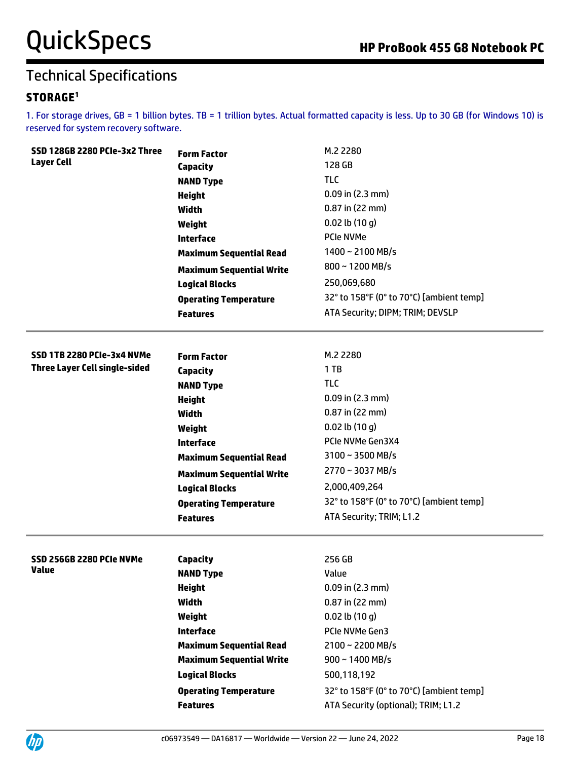## **STORAGE<sup>1</sup>**

1. For storage drives, GB = 1 billion bytes. TB = 1 trillion bytes. Actual formatted capacity is less. Up to 30 GB (for Windows 10) is reserved for system recovery software.

| SSD 128GB 2280 PCIe-3x2 Three        | <b>Form Factor</b>              | M.2 2280                                 |  |
|--------------------------------------|---------------------------------|------------------------------------------|--|
| <b>Layer Cell</b>                    | <b>Capacity</b>                 | 128 GB                                   |  |
|                                      | <b>NAND Type</b>                | <b>TLC</b>                               |  |
|                                      | <b>Height</b>                   | $0.09$ in (2.3 mm)                       |  |
|                                      | <b>Width</b>                    | $0.87$ in (22 mm)                        |  |
|                                      | Weight                          | $0.02$ lb $(10q)$                        |  |
|                                      | <b>Interface</b>                | <b>PCIe NVMe</b>                         |  |
|                                      | <b>Maximum Sequential Read</b>  | 1400~2100 MB/s                           |  |
|                                      | <b>Maximum Sequential Write</b> | 800~1200 MB/s                            |  |
|                                      | <b>Logical Blocks</b>           | 250,069,680                              |  |
|                                      | <b>Operating Temperature</b>    | 32° to 158°F (0° to 70°C) [ambient temp] |  |
|                                      | <b>Features</b>                 | ATA Security; DIPM; TRIM; DEVSLP         |  |
|                                      |                                 |                                          |  |
| SSD 1TB 2280 PCIe-3x4 NVMe           | <b>Form Factor</b>              | M.2 2280                                 |  |
| <b>Three Layer Cell single-sided</b> | <b>Capacity</b>                 | 1TB                                      |  |
|                                      | <b>NAND Type</b>                | <b>TLC</b>                               |  |
|                                      | <b>Height</b>                   | $0.09$ in (2.3 mm)                       |  |
|                                      | <b>Width</b>                    | $0.87$ in (22 mm)                        |  |
|                                      | Weight                          | $0.02$ lb $(10q)$                        |  |
|                                      | <b>Interface</b>                | PCIe NVMe Gen3X4                         |  |
|                                      | <b>Maximum Sequential Read</b>  | 3100~3500 MB/s                           |  |
|                                      | <b>Maximum Sequential Write</b> | 2770~3037 MB/s                           |  |
|                                      | <b>Logical Blocks</b>           | 2,000,409,264                            |  |
|                                      | <b>Operating Temperature</b>    | 32° to 158°F (0° to 70°C) [ambient temp] |  |
|                                      | <b>Features</b>                 | ATA Security; TRIM; L1.2                 |  |
|                                      |                                 |                                          |  |
| SSD 256GB 2280 PCIe NVMe             | <b>Capacity</b>                 | 256 GB                                   |  |
| <b>Value</b>                         | <b>NAND Type</b>                | Value                                    |  |
|                                      | <b>Height</b>                   | $0.09$ in (2.3 mm)                       |  |
|                                      | Width                           | $0.87$ in (22 mm)                        |  |
|                                      | Weight                          | $0.02$ lb $(10q)$                        |  |
|                                      | <b>Interface</b>                | PCIe NVMe Gen3                           |  |
|                                      | <b>Maximum Sequential Read</b>  | 2100~2200 MB/s                           |  |
|                                      | <b>Maximum Sequential Write</b> | 900~1400 MB/s                            |  |
|                                      | <b>Logical Blocks</b>           | 500,118,192                              |  |
|                                      | <b>Operating Temperature</b>    | 32° to 158°F (0° to 70°C) [ambient temp] |  |
|                                      | <b>Features</b>                 | ATA Security (optional); TRIM; L1.2      |  |

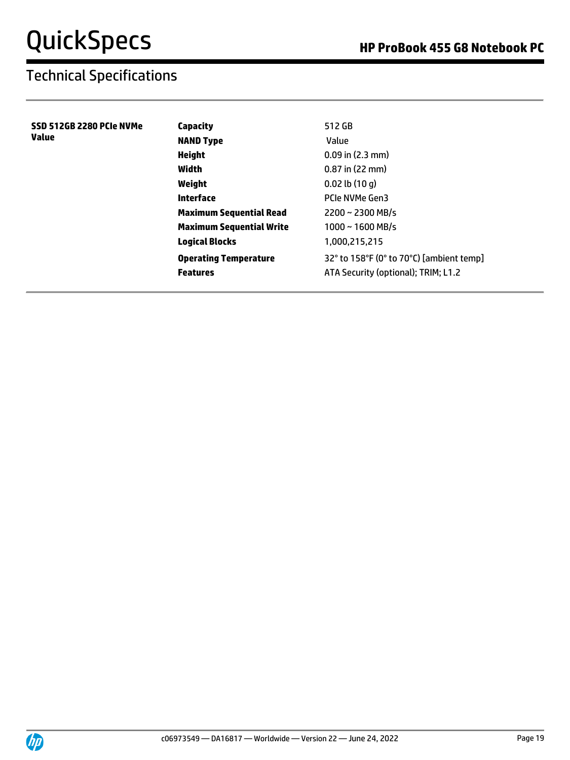| SSD 512GB 2280 PCIe NVMe | Capacity                        | 512 GB                                   |
|--------------------------|---------------------------------|------------------------------------------|
| <b>Value</b>             | <b>NAND Type</b>                | Value                                    |
|                          | <b>Height</b>                   | $0.09$ in $(2.3$ mm)                     |
|                          | Width                           | $0.87$ in (22 mm)                        |
|                          | Weight                          | $0.02$ lb $(10q)$                        |
|                          | <b>Interface</b>                | PCIe NVMe Gen3                           |
|                          | <b>Maximum Sequential Read</b>  | $2200 \sim 2300$ MB/s                    |
|                          | <b>Maximum Sequential Write</b> | $1000 \sim 1600$ MB/s                    |
|                          | <b>Logical Blocks</b>           | 1,000,215,215                            |
|                          | <b>Operating Temperature</b>    | 32° to 158°F (0° to 70°C) [ambient temp] |
|                          | <b>Features</b>                 | ATA Security (optional); TRIM; L1.2      |
|                          |                                 |                                          |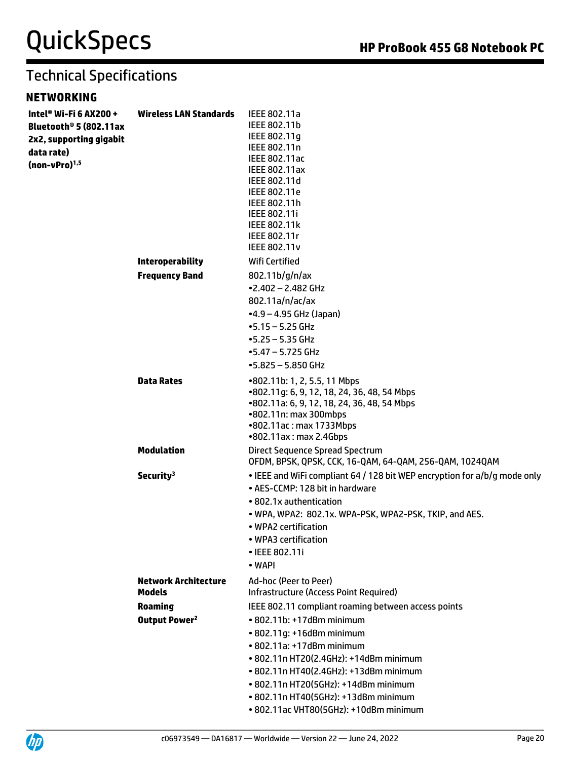## **NETWORKING**

| Intel® Wi-Fi 6 AX200 +<br>Bluetooth <sup>®</sup> 5 (802.11ax<br>2x2, supporting gigabit<br>data rate)<br>$(non-vPro)^{1,5}$ | <b>Wireless LAN Standards</b>                | IEEE 802.11a<br>IEEE 802.11b<br>IEEE 802.11g<br>IEEE 802.11n<br>IEEE 802.11ac<br>IEEE 802.11ax<br>IEEE 802.11d<br>IEEE 802.11e<br>IEEE 802.11h<br>IEEE 802.11i<br>IEEE 802.11k<br>IEEE 802.11r<br><b>IEEE 802.11v</b>                                                                             |
|-----------------------------------------------------------------------------------------------------------------------------|----------------------------------------------|---------------------------------------------------------------------------------------------------------------------------------------------------------------------------------------------------------------------------------------------------------------------------------------------------|
|                                                                                                                             | <b>Interoperability</b>                      | Wifi Certified                                                                                                                                                                                                                                                                                    |
|                                                                                                                             | <b>Frequency Band</b>                        | 802.11b/g/n/ax<br>$-2.402 - 2.482$ GHz<br>802.11a/n/ac/ax<br>$-4.9 - 4.95$ GHz (Japan)<br>$-5.15 - 5.25$ GHz<br>$-5.25 - 5.35$ GHz<br>$-5.47 - 5.725$ GHz<br>$-5.825 - 5.850$ GHz                                                                                                                 |
|                                                                                                                             | <b>Data Rates</b>                            | •802.11b: 1, 2, 5.5, 11 Mbps<br>•802.11g: 6, 9, 12, 18, 24, 36, 48, 54 Mbps<br>•802.11a: 6, 9, 12, 18, 24, 36, 48, 54 Mbps<br>•802.11n: max 300mbps<br>•802.11ac: max 1733Mbps<br>•802.11ax: max 2.4Gbps                                                                                          |
|                                                                                                                             | <b>Modulation</b>                            | Direct Sequence Spread Spectrum<br>OFDM, BPSK, QPSK, CCK, 16-QAM, 64-QAM, 256-QAM, 1024QAM                                                                                                                                                                                                        |
|                                                                                                                             | Security <sup>3</sup>                        | • IEEE and WiFi compliant 64 / 128 bit WEP encryption for a/b/g mode only<br>• AES-CCMP: 128 bit in hardware<br>• 802.1x authentication<br>• WPA, WPA2: 802.1x. WPA-PSK, WPA2-PSK, TKIP, and AES.<br>• WPA2 certification<br>• WPA3 certification<br>• IEEE 802.11i<br>• WAPI                     |
|                                                                                                                             | <b>Network Architecture</b><br><b>Models</b> | Ad-hoc (Peer to Peer)<br>Infrastructure (Access Point Required)                                                                                                                                                                                                                                   |
|                                                                                                                             | <b>Roaming</b>                               | IEEE 802.11 compliant roaming between access points                                                                                                                                                                                                                                               |
|                                                                                                                             | Output Power <sup>2</sup>                    | • 802.11b: +17dBm minimum<br>• 802.11g: +16dBm minimum<br>• 802.11a: +17dBm minimum<br>• 802.11n HT20(2.4GHz): +14dBm minimum<br>• 802.11n HT40(2.4GHz): +13dBm minimum<br>• 802.11n HT20(5GHz): +14dBm minimum<br>• 802.11n HT40(5GHz): +13dBm minimum<br>• 802.11ac VHT80(5GHz): +10dBm minimum |

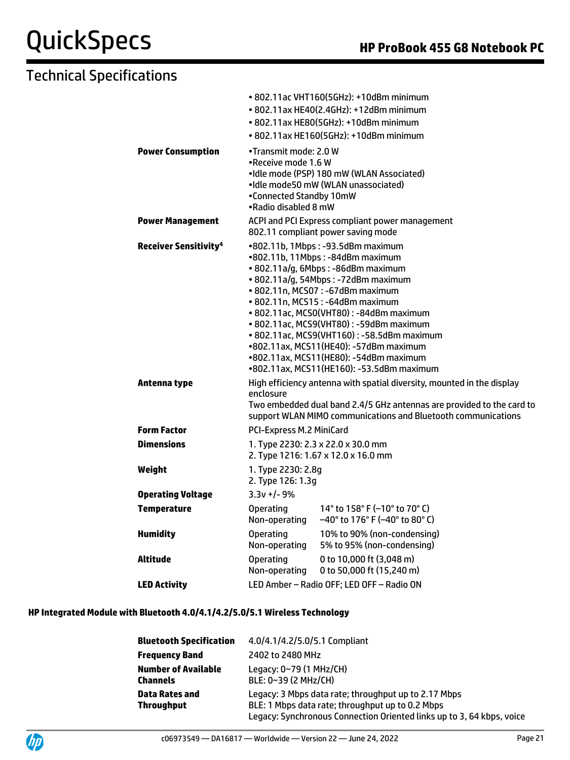# Technical Specifications

|                                         |                                                                                                 | • 802.11ac VHT160(5GHz): +10dBm minimum<br>• 802.11ax HE40(2.4GHz): +12dBm minimum<br>• 802.11ax HE80(5GHz): +10dBm minimum<br>• 802.11ax HE160(5GHz): +10dBm minimum                                                                                                                                                                                                                                                                                                                           |
|-----------------------------------------|-------------------------------------------------------------------------------------------------|-------------------------------------------------------------------------------------------------------------------------------------------------------------------------------------------------------------------------------------------------------------------------------------------------------------------------------------------------------------------------------------------------------------------------------------------------------------------------------------------------|
| <b>Power Consumption</b>                | •Transmit mode: 2.0 W<br>•Receive mode 1.6 W<br>•Connected Standby 10mW<br>•Radio disabled 8 mW | •Idle mode (PSP) 180 mW (WLAN Associated)<br>•Idle mode50 mW (WLAN unassociated)                                                                                                                                                                                                                                                                                                                                                                                                                |
| <b>Power Management</b>                 |                                                                                                 | ACPI and PCI Express compliant power management<br>802.11 compliant power saving mode                                                                                                                                                                                                                                                                                                                                                                                                           |
| <b>Receiver Sensitivity<sup>4</sup></b> |                                                                                                 | •802.11b, 1Mbps: -93.5dBm maximum<br>•802.11b, 11Mbps: -84dBm maximum<br>· 802.11a/g, 6Mbps: -86dBm maximum<br>· 802.11a/g, 54Mbps: -72dBm maximum<br>• 802.11n, MCS07: -67dBm maximum<br>• 802.11n, MCS15: -64dBm maximum<br>• 802.11ac, MCS0(VHT80): -84dBm maximum<br>• 802.11ac, MCS9(VHT80): -59dBm maximum<br>• 802.11ac, MCS9(VHT160): -58.5dBm maximum<br>•802.11ax, MCS11(HE40): -57dBm maximum<br>•802.11ax, MCS11(HE80): -54dBm maximum<br>•802.11ax, MCS11(HE160): -53.5dBm maximum |
| Antenna type                            | enclosure                                                                                       | High efficiency antenna with spatial diversity, mounted in the display<br>Two embedded dual band 2.4/5 GHz antennas are provided to the card to<br>support WLAN MIMO communications and Bluetooth communications                                                                                                                                                                                                                                                                                |
| <b>Form Factor</b>                      | <b>PCI-Express M.2 MiniCard</b>                                                                 |                                                                                                                                                                                                                                                                                                                                                                                                                                                                                                 |
| <b>Dimensions</b>                       |                                                                                                 | 1. Type 2230: 2.3 x 22.0 x 30.0 mm<br>2. Type 1216: 1.67 x 12.0 x 16.0 mm                                                                                                                                                                                                                                                                                                                                                                                                                       |
| Weight                                  | 1. Type 2230: 2.8g<br>2. Type 126: 1.3g                                                         |                                                                                                                                                                                                                                                                                                                                                                                                                                                                                                 |
| <b>Operating Voltage</b>                | $3.3v + 1 - 9%$                                                                                 |                                                                                                                                                                                                                                                                                                                                                                                                                                                                                                 |
| <b>Temperature</b>                      | <b>Operating</b><br>Non-operating                                                               | 14° to 158° F (-10° to 70° C)<br>$-40^{\circ}$ to 176° F (-40° to 80° C)                                                                                                                                                                                                                                                                                                                                                                                                                        |
| <b>Humidity</b>                         | <b>Operating</b><br>Non-operating                                                               | 10% to 90% (non-condensing)<br>5% to 95% (non-condensing)                                                                                                                                                                                                                                                                                                                                                                                                                                       |
| Altitude                                | <b>Operating</b><br>Non-operating                                                               | 0 to 10,000 ft (3,048 m)<br>0 to 50,000 ft (15,240 m)                                                                                                                                                                                                                                                                                                                                                                                                                                           |
| <b>LED Activity</b>                     |                                                                                                 | LED Amber - Radio OFF; LED OFF - Radio ON                                                                                                                                                                                                                                                                                                                                                                                                                                                       |
|                                         |                                                                                                 |                                                                                                                                                                                                                                                                                                                                                                                                                                                                                                 |

#### **HP Integrated Module with Bluetooth 4.0/4.1/4.2/5.0/5.1 Wireless Technology**

| <b>Bluetooth Specification</b>  | 4.0/4.1/4.2/5.0/5.1 Compliant                                                                                                                                                     |
|---------------------------------|-----------------------------------------------------------------------------------------------------------------------------------------------------------------------------------|
| Frequency Band                  | 2402 to 2480 MHz                                                                                                                                                                  |
| Number of Available<br>Channels | Legacy: 0~79 (1 MHz/CH)<br>BLE: 0~39 (2 MHz/CH)                                                                                                                                   |
| Data Rates and<br>Throughput    | Legacy: 3 Mbps data rate; throughput up to 2.17 Mbps<br>BLE: 1 Mbps data rate; throughput up to 0.2 Mbps<br>Legacy: Synchronous Connection Oriented links up to 3, 64 kbps, voice |

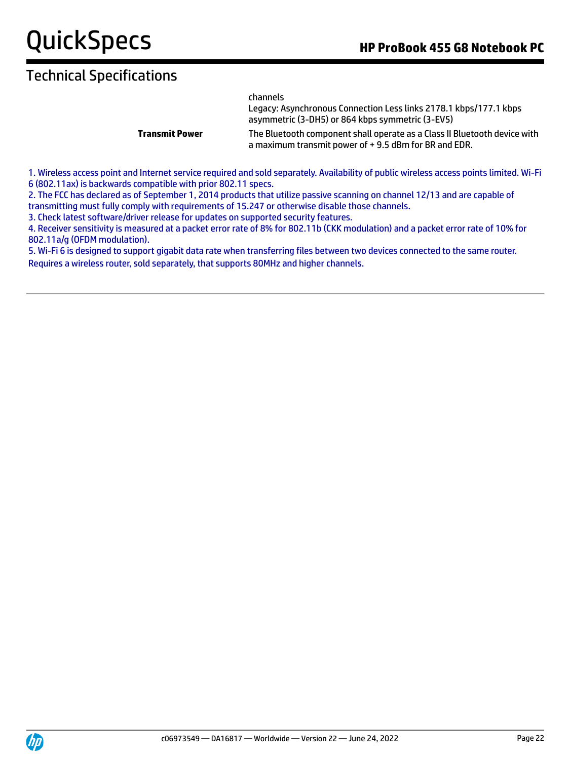|                       | channels<br>Legacy: Asynchronous Connection Less links 2178.1 kbps/177.1 kbps<br>asymmetric (3-DH5) or 864 kbps symmetric (3-EV5) |
|-----------------------|-----------------------------------------------------------------------------------------------------------------------------------|
| <b>Transmit Power</b> | The Bluetooth component shall operate as a Class II Bluetooth device with<br>a maximum transmit power of +9.5 dBm for BR and EDR. |

1. Wireless access point and Internet service required and sold separately. Availability of public wireless access points limited. Wi-Fi 6 (802.11ax) is backwards compatible with prior 802.11 specs.

2. The FCC has declared as of September 1, 2014 products that utilize passive scanning on channel 12/13 and are capable of transmitting must fully comply with requirements of 15.247 or otherwise disable those channels.

3. Check latest software/driver release for updates on supported security features.

4. Receiver sensitivity is measured at a packet error rate of 8% for 802.11b (CKK modulation) and a packet error rate of 10% for 802.11a/g (OFDM modulation).

5. Wi-Fi 6 is designed to support gigabit data rate when transferring files between two devices connected to the same router. Requires a wireless router, sold separately, that supports 80MHz and higher channels.

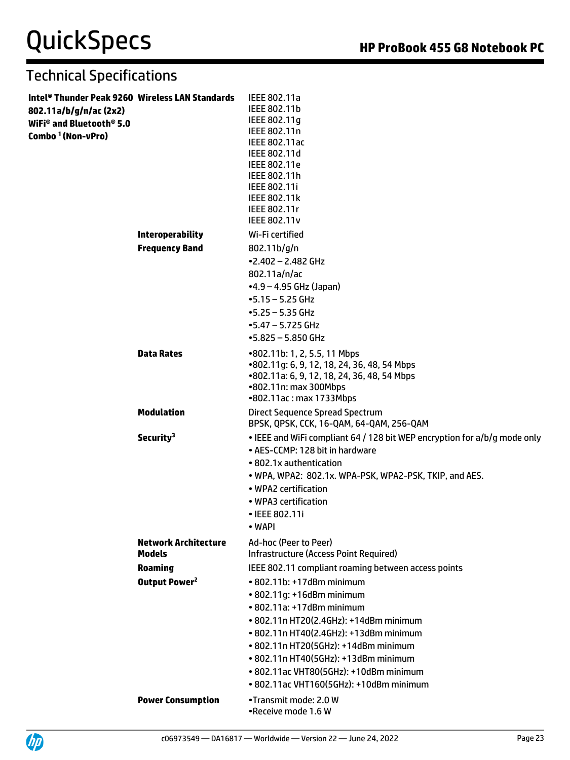| Intel® Thunder Peak 9260 Wireless LAN Standards<br>802.11a/b/g/n/ac (2x2)<br>WiFi® and Bluetooth® 5.0<br>Combo <sup>1</sup> (Non-vPro) |                                             | IEEE 802.11a<br>IEEE 802.11b<br>IEEE 802.11g<br>IEEE 802.11n<br>IEEE 802.11ac<br>IEEE 802.11d<br>IEEE 802.11e<br>IEEE 802.11h<br>IEEE 802.11i<br>IEEE 802.11k<br>IEEE 802.11r<br><b>IEEE 802.11v</b>                                                                                                                                                                                                         |
|----------------------------------------------------------------------------------------------------------------------------------------|---------------------------------------------|--------------------------------------------------------------------------------------------------------------------------------------------------------------------------------------------------------------------------------------------------------------------------------------------------------------------------------------------------------------------------------------------------------------|
|                                                                                                                                        | <b>Interoperability</b>                     | Wi-Fi certified                                                                                                                                                                                                                                                                                                                                                                                              |
|                                                                                                                                        | <b>Frequency Band</b>                       | 802.11 b/g/n<br>$-2.402 - 2.482$ GHz<br>802.11a/n/ac<br>$-4.9 - 4.95$ GHz (Japan)                                                                                                                                                                                                                                                                                                                            |
|                                                                                                                                        |                                             | $-5.15 - 5.25$ GHz<br>$-5.25 - 5.35$ GHz<br>$-5.47 - 5.725$ GHz<br>$-5.825 - 5.850$ GHz                                                                                                                                                                                                                                                                                                                      |
|                                                                                                                                        | <b>Data Rates</b>                           | •802.11b: 1, 2, 5.5, 11 Mbps<br>•802.11g: 6, 9, 12, 18, 24, 36, 48, 54 Mbps<br>•802.11a: 6, 9, 12, 18, 24, 36, 48, 54 Mbps<br>•802.11n: max 300Mbps<br>•802.11ac: max 1733Mbps                                                                                                                                                                                                                               |
|                                                                                                                                        | <b>Modulation</b>                           | <b>Direct Sequence Spread Spectrum</b><br>BPSK, QPSK, CCK, 16-QAM, 64-QAM, 256-QAM                                                                                                                                                                                                                                                                                                                           |
|                                                                                                                                        | Security <sup>3</sup>                       | • IEEE and WiFi compliant 64 / 128 bit WEP encryption for a/b/g mode only<br>• AES-CCMP: 128 bit in hardware<br>• 802.1x authentication<br>• WPA, WPA2: 802.1x. WPA-PSK, WPA2-PSK, TKIP, and AES.<br>• WPA2 certification<br>• WPA3 certification<br>• IEEE 802.11i<br>• WAPI                                                                                                                                |
|                                                                                                                                        | <b>Network Architecture</b>                 | Ad-hoc (Peer to Peer)                                                                                                                                                                                                                                                                                                                                                                                        |
|                                                                                                                                        | <b>Models</b>                               | Infrastructure (Access Point Required)                                                                                                                                                                                                                                                                                                                                                                       |
|                                                                                                                                        | <b>Roaming</b><br>Output Power <sup>2</sup> | IEEE 802.11 compliant roaming between access points<br>$\cdot$ 802.11b: $+17$ dBm minimum<br>• 802.11g: +16dBm minimum<br>• 802.11a: +17dBm minimum<br>• 802.11n HT20(2.4GHz): +14dBm minimum<br>• 802.11n HT40(2.4GHz): +13dBm minimum<br>• 802.11n HT20(5GHz): +14dBm minimum<br>• 802.11n HT40(5GHz): +13dBm minimum<br>• 802.11ac VHT80(5GHz): +10dBm minimum<br>• 802.11ac VHT160(5GHz): +10dBm minimum |
|                                                                                                                                        | <b>Power Consumption</b>                    | •Transmit mode: 2.0 W<br>•Receive mode 1.6 W                                                                                                                                                                                                                                                                                                                                                                 |

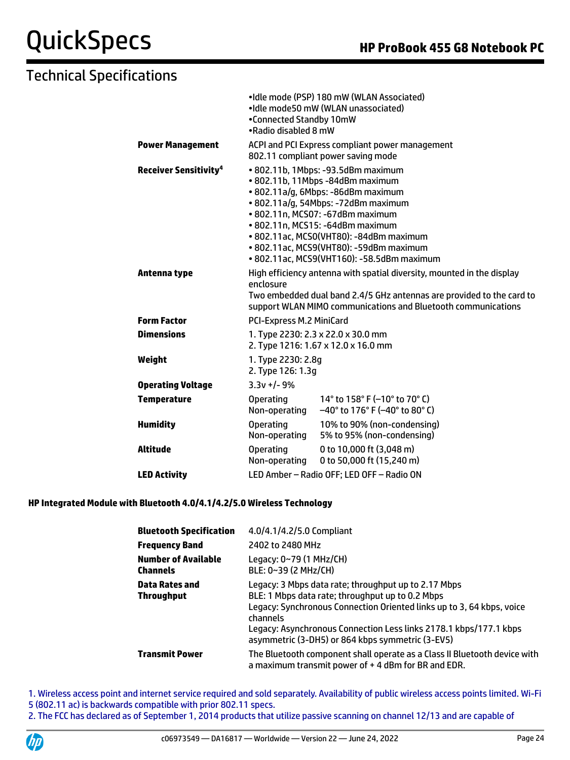## Technical Specifications

|                                         | •Connected Standby 10mW<br>•Radio disabled 8 mW | •Idle mode (PSP) 180 mW (WLAN Associated)<br>•Idle mode50 mW (WLAN unassociated)                                                                                                                                                                                                                                                                                |
|-----------------------------------------|-------------------------------------------------|-----------------------------------------------------------------------------------------------------------------------------------------------------------------------------------------------------------------------------------------------------------------------------------------------------------------------------------------------------------------|
| <b>Power Management</b>                 |                                                 | ACPI and PCI Express compliant power management<br>802.11 compliant power saving mode                                                                                                                                                                                                                                                                           |
| <b>Receiver Sensitivity<sup>4</sup></b> |                                                 | • 802.11b, 1Mbps: -93.5dBm maximum<br>· 802.11b, 11Mbps -84dBm maximum<br>• 802.11a/g, 6Mbps: -86dBm maximum<br>· 802.11a/g, 54Mbps: -72dBm maximum<br>• 802.11n, MCS07: -67dBm maximum<br>• 802.11n, MCS15: -64dBm maximum<br>· 802.11ac, MCS0(VHT80): -84dBm maximum<br>• 802.11ac, MCS9(VHT80): -59dBm maximum<br>• 802.11ac, MCS9(VHT160): -58.5dBm maximum |
| Antenna type                            | enclosure                                       | High efficiency antenna with spatial diversity, mounted in the display<br>Two embedded dual band 2.4/5 GHz antennas are provided to the card to<br>support WLAN MIMO communications and Bluetooth communications                                                                                                                                                |
| <b>Form Factor</b>                      | <b>PCI-Express M.2 MiniCard</b>                 |                                                                                                                                                                                                                                                                                                                                                                 |
| <b>Dimensions</b>                       |                                                 | 1. Type 2230: 2.3 x 22.0 x 30.0 mm<br>2. Type 1216: 1.67 x 12.0 x 16.0 mm                                                                                                                                                                                                                                                                                       |
| Weight                                  | 1. Type 2230: 2.8q<br>2. Type 126: 1.3g         |                                                                                                                                                                                                                                                                                                                                                                 |
| <b>Operating Voltage</b>                | $3.3v + 1 - 9%$                                 |                                                                                                                                                                                                                                                                                                                                                                 |
| <b>Temperature</b>                      | <b>Operating</b><br>Non-operating               | 14° to 158° F (-10° to 70° C)<br>$-40^{\circ}$ to 176° F (-40° to 80° C)                                                                                                                                                                                                                                                                                        |
| <b>Humidity</b>                         | <b>Operating</b><br>Non-operating               | 10% to 90% (non-condensing)<br>5% to 95% (non-condensing)                                                                                                                                                                                                                                                                                                       |
| <b>Altitude</b>                         | <b>Operating</b><br>Non-operating               | 0 to 10,000 ft (3,048 m)<br>0 to 50,000 ft (15,240 m)                                                                                                                                                                                                                                                                                                           |
| <b>LED Activity</b>                     |                                                 | LED Amber - Radio OFF; LED OFF - Radio ON                                                                                                                                                                                                                                                                                                                       |

#### **HP Integrated Module with Bluetooth 4.0/4.1/4.2/5.0 Wireless Technology**

| <b>Bluetooth Specification</b>                | 4.0/4.1/4.2/5.0 Compliant                                                                                                                                                                                                                                                                                              |
|-----------------------------------------------|------------------------------------------------------------------------------------------------------------------------------------------------------------------------------------------------------------------------------------------------------------------------------------------------------------------------|
| <b>Frequency Band</b>                         | 2402 to 2480 MHz                                                                                                                                                                                                                                                                                                       |
| <b>Number of Available</b><br><b>Channels</b> | Legacy: 0~79 (1 MHz/CH)<br>BLE: 0~39 (2 MHz/CH)                                                                                                                                                                                                                                                                        |
| Data Rates and<br><b>Throughput</b>           | Legacy: 3 Mbps data rate; throughput up to 2.17 Mbps<br>BLE: 1 Mbps data rate; throughput up to 0.2 Mbps<br>Legacy: Synchronous Connection Oriented links up to 3, 64 kbps, voice<br>channels<br>Legacy: Asynchronous Connection Less links 2178.1 kbps/177.1 kbps<br>asymmetric (3-DH5) or 864 kbps symmetric (3-EV5) |
| <b>Transmit Power</b>                         | The Bluetooth component shall operate as a Class II Bluetooth device with<br>a maximum transmit power of $+$ 4 dBm for BR and EDR.                                                                                                                                                                                     |

1. Wireless access point and internet service required and sold separately. Availability of public wireless access points limited. Wi-Fi 5 (802.11 ac) is backwards compatible with prior 802.11 specs.

2. The FCC has declared as of September 1, 2014 products that utilize passive scanning on channel 12/13 and are capable of

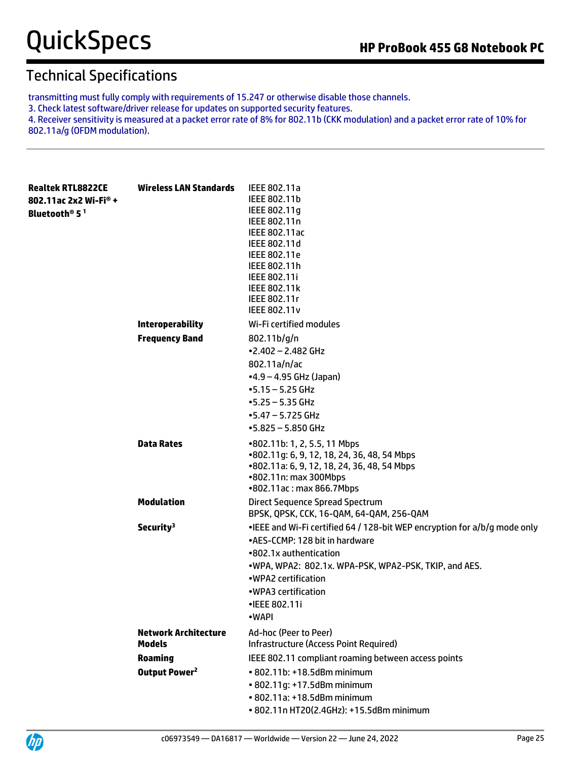## Technical Specifications

transmitting must fully comply with requirements of 15.247 or otherwise disable those channels.

3. Check latest software/driver release for updates on supported security features.

4. Receiver sensitivity is measured at a packet error rate of 8% for 802.11b (CKK modulation) and a packet error rate of 10% for 802.11a/g (OFDM modulation).

| <b>Realtek RTL8822CE</b><br>802.11ac 2x2 Wi-Fi <sup>®</sup> +<br>Bluetooth <sup>®</sup> 5 <sup>1</sup> | <b>Wireless LAN Standards</b>                                                               | IEEE 802.11a<br>IEEE 802.11b<br>IEEE 802.11g<br>IEEE 802.11n<br><b>IEEE 802.11ac</b><br>IEEE 802.11d<br>IEEE 802.11e<br>IEEE 802.11h<br>IEEE 802.11i<br>IEEE 802.11k<br>IEEE 802.11r<br><b>IEEE 802.11v</b>                                                             |
|--------------------------------------------------------------------------------------------------------|---------------------------------------------------------------------------------------------|-------------------------------------------------------------------------------------------------------------------------------------------------------------------------------------------------------------------------------------------------------------------------|
|                                                                                                        | <b>Interoperability</b>                                                                     | Wi-Fi certified modules                                                                                                                                                                                                                                                 |
|                                                                                                        | <b>Frequency Band</b>                                                                       | 802.11 b/g/n<br>$-2.402 - 2.482$ GHz<br>802.11a/n/ac<br>$-4.9 - 4.95$ GHz (Japan)<br>$-5.15 - 5.25$ GHz<br>$-5.25 - 5.35$ GHz<br>$-5.47 - 5.725$ GHz<br>$-5.825 - 5.850$ GHz                                                                                            |
|                                                                                                        | <b>Data Rates</b>                                                                           | •802.11b: 1, 2, 5.5, 11 Mbps<br>•802.11g: 6, 9, 12, 18, 24, 36, 48, 54 Mbps<br>•802.11a: 6, 9, 12, 18, 24, 36, 48, 54 Mbps<br>•802.11n: max 300Mbps<br>•802.11ac: max 866.7Mbps                                                                                         |
|                                                                                                        | <b>Modulation</b>                                                                           | Direct Sequence Spread Spectrum<br>BPSK, QPSK, CCK, 16-QAM, 64-QAM, 256-QAM                                                                                                                                                                                             |
|                                                                                                        | Security <sup>3</sup>                                                                       | . IEEE and Wi-Fi certified 64 / 128-bit WEP encryption for a/b/g mode only<br>•AES-CCMP: 128 bit in hardware<br>•802.1x authentication<br>.WPA, WPA2: 802.1x. WPA-PSK, WPA2-PSK, TKIP, and AES.<br>•WPA2 certification<br>•WPA3 certification<br>•IEEE 802.11i<br>•WAPI |
|                                                                                                        | <b>Network Architecture</b><br><b>Models</b><br><b>Roaming</b><br>Output Power <sup>2</sup> | Ad-hoc (Peer to Peer)<br><b>Infrastructure (Access Point Required)</b><br>IEEE 802.11 compliant roaming between access points<br>• 802.11b: +18.5dBm minimum<br>• 802.11q: +17.5dBm minimum<br>• 802.11a: +18.5dBm minimum<br>• 802.11n HT20(2.4GHz): +15.5dBm minimum  |

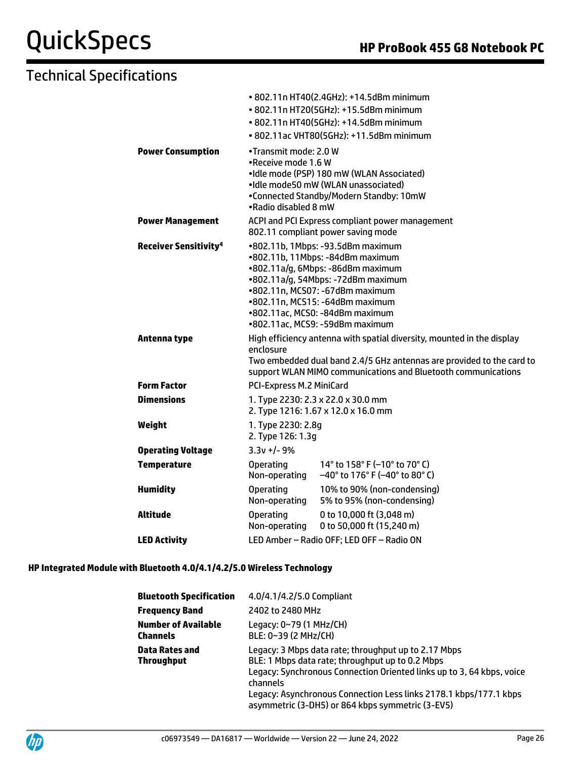# Technical Specifications

|                                         |                                                                                                                                                                                                                                                                                              | • 802.11n HT40(2.4GHz): +14.5dBm minimum<br>• 802.11n HT20(5GHz): +15.5dBm minimum<br>• 802.11n HT40(5GHz): +14.5dBm minimum<br>• 802.11ac VHT80(5GHz): +11.5dBm minimum |
|-----------------------------------------|----------------------------------------------------------------------------------------------------------------------------------------------------------------------------------------------------------------------------------------------------------------------------------------------|--------------------------------------------------------------------------------------------------------------------------------------------------------------------------|
| <b>Power Consumption</b>                | •Transmit mode: 2.0 W<br>.Receive mode 1.6 W<br>•Idle mode (PSP) 180 mW (WLAN Associated)<br>•Idle mode50 mW (WLAN unassociated)<br>•Connected Standby/Modern Standby: 10mW<br>.Radio disabled 8 mW                                                                                          |                                                                                                                                                                          |
| <b>Power Management</b>                 | ACPI and PCI Express compliant power management<br>802.11 compliant power saving mode                                                                                                                                                                                                        |                                                                                                                                                                          |
| <b>Receiver Sensitivity<sup>4</sup></b> | •802.11b, 1Mbps: -93.5dBm maximum<br>•802.11b, 11Mbps: -84dBm maximum<br>•802.11a/g, 6Mbps: -86dBm maximum<br>•802.11a/g, 54Mbps: -72dBm maximum<br>•802.11n, MCS07: -67dBm maximum<br>•802.11n, MCS15: -64dBm maximum<br>•802.11ac, MCS0: -84dBm maximum<br>•802.11ac, MCS9: -59dBm maximum |                                                                                                                                                                          |
| Antenna type                            | High efficiency antenna with spatial diversity, mounted in the display<br>enclosure<br>Two embedded dual band 2.4/5 GHz antennas are provided to the card to<br>support WLAN MIMO communications and Bluetooth communications                                                                |                                                                                                                                                                          |
| <b>Form Factor</b>                      | <b>PCI-Express M.2 MiniCard</b>                                                                                                                                                                                                                                                              |                                                                                                                                                                          |
| <b>Dimensions</b>                       | 1. Type 2230: 2.3 x 22.0 x 30.0 mm<br>2. Type 1216: 1.67 x 12.0 x 16.0 mm                                                                                                                                                                                                                    |                                                                                                                                                                          |
| Weight                                  | 1. Type 2230: 2.8g<br>2. Type 126: 1.3q                                                                                                                                                                                                                                                      |                                                                                                                                                                          |
| <b>Operating Voltage</b>                | $3.3v + 1 - 9%$                                                                                                                                                                                                                                                                              |                                                                                                                                                                          |
| <b>Temperature</b>                      | <b>Operating</b><br>Non-operating                                                                                                                                                                                                                                                            | 14° to 158° F (-10° to 70° C)<br>$-40^{\circ}$ to 176° F (-40° to 80° C)                                                                                                 |
| <b>Humidity</b>                         | <b>Operating</b><br>Non-operating                                                                                                                                                                                                                                                            | 10% to 90% (non-condensing)<br>5% to 95% (non-condensing)                                                                                                                |
| <b>Altitude</b>                         | <b>Operating</b><br>Non-operating                                                                                                                                                                                                                                                            | 0 to 10,000 ft (3,048 m)<br>0 to 50,000 ft (15,240 m)                                                                                                                    |
| <b>LED Activity</b>                     | LED Amber - Radio OFF; LED OFF - Radio ON                                                                                                                                                                                                                                                    |                                                                                                                                                                          |

#### **HP Integrated Module with Bluetooth 4.0/4.1/4.2/5.0 Wireless Technology**

| <b>Bluetooth Specification</b>  | 4.0/4.1/4.2/5.0 Compliant                                                                                                                                                                                                                                                                                              |
|---------------------------------|------------------------------------------------------------------------------------------------------------------------------------------------------------------------------------------------------------------------------------------------------------------------------------------------------------------------|
| Frequency Band                  | 2402 to 2480 MHz                                                                                                                                                                                                                                                                                                       |
| Number of Available<br>Channels | Legacy: 0~79 (1 MHz/CH)<br>BLE: 0~39 (2 MHz/CH)                                                                                                                                                                                                                                                                        |
| Data Rates and<br>Throughput    | Legacy: 3 Mbps data rate; throughput up to 2.17 Mbps<br>BLE: 1 Mbps data rate; throughput up to 0.2 Mbps<br>Legacy: Synchronous Connection Oriented links up to 3, 64 kbps, voice<br>channels<br>Legacy: Asynchronous Connection Less links 2178.1 kbps/177.1 kbps<br>asymmetric (3-DH5) or 864 kbps symmetric (3-EV5) |

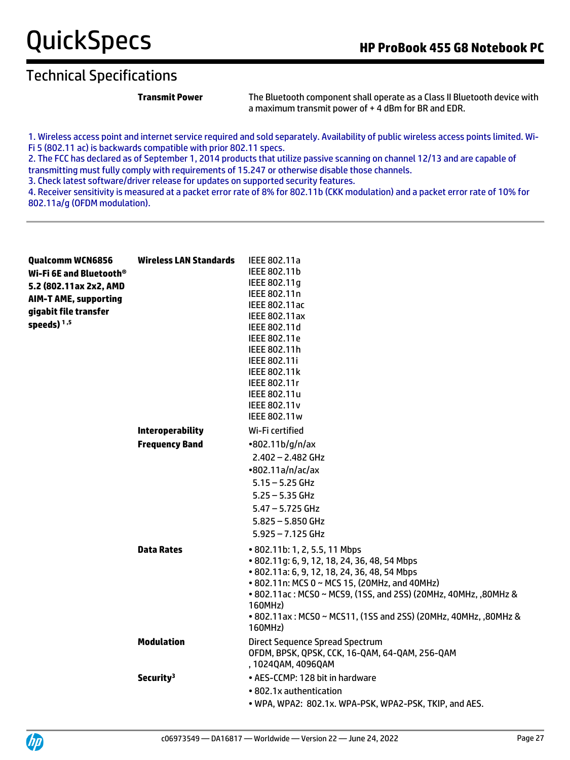**Transmit Power** The Bluetooth component shall operate as a Class II Bluetooth device with a maximum transmit power of + 4 dBm for BR and EDR.

1. Wireless access point and internet service required and sold separately. Availability of public wireless access points limited. Wi-Fi 5 (802.11 ac) is backwards compatible with prior 802.11 specs.

2. The FCC has declared as of September 1, 2014 products that utilize passive scanning on channel 12/13 and are capable of transmitting must fully comply with requirements of 15.247 or otherwise disable those channels.

3. Check latest software/driver release for updates on supported security features.

4. Receiver sensitivity is measured at a packet error rate of 8% for 802.11b (CKK modulation) and a packet error rate of 10% for 802.11a/g (OFDM modulation).

| <b>Qualcomm WCN6856</b><br>Wi-Fi 6E and Bluetooth®<br>5.2 (802.11ax 2x2, AMD<br><b>AIM-T AME, supporting</b><br>gigabit file transfer<br>speeds) $1,5$ | <b>Wireless LAN Standards</b> | IEEE 802.11a<br>IEEE 802.11b<br>IEEE 802.11q<br>IEEE 802.11n<br>IEEE 802.11ac<br><b>IEEE 802.11ax</b><br>IEEE 802.11d<br>IEEE 802.11e<br>IEEE 802.11h<br>IEEE 802.11i<br><b>IEEE 802.11k</b>                                                                                                                                               |
|--------------------------------------------------------------------------------------------------------------------------------------------------------|-------------------------------|--------------------------------------------------------------------------------------------------------------------------------------------------------------------------------------------------------------------------------------------------------------------------------------------------------------------------------------------|
|                                                                                                                                                        |                               | IEEE 802.11r<br>IEEE 802.11u<br><b>IEEE 802.11v</b><br><b>IEEE 802.11w</b>                                                                                                                                                                                                                                                                 |
|                                                                                                                                                        | <b>Interoperability</b>       | Wi-Fi certified                                                                                                                                                                                                                                                                                                                            |
|                                                                                                                                                        | <b>Frequency Band</b>         | •802.11b/g/n/ax<br>$2.402 - 2.482$ GHz<br>$-802.11a/n/ac/ax$<br>$5.15 - 5.25$ GHz<br>$5.25 - 5.35$ GHz<br>$5.47 - 5.725$ GHz<br>$5.825 - 5.850$ GHz<br>$5.925 - 7.125$ GHz                                                                                                                                                                 |
|                                                                                                                                                        | <b>Data Rates</b>             | • 802.11b: 1, 2, 5.5, 11 Mbps<br>• 802.11g: 6, 9, 12, 18, 24, 36, 48, 54 Mbps<br>• 802.11a: 6, 9, 12, 18, 24, 36, 48, 54 Mbps<br>• 802.11n: MCS 0 ~ MCS 15, (20MHz, and 40MHz)<br>• 802.11ac: MCS0 ~ MCS9, (1SS, and 2SS) (20MHz, 40MHz, ,80MHz &<br>160MHz)<br>• 802.11ax: MCS0 ~ MCS11, (1SS and 2SS) (20MHz, 40MHz, ,80MHz &<br>160MHz) |
|                                                                                                                                                        | <b>Modulation</b>             | Direct Sequence Spread Spectrum<br>OFDM, BPSK, QPSK, CCK, 16-QAM, 64-QAM, 256-QAM<br>, 1024QAM, 4096QAM                                                                                                                                                                                                                                    |
|                                                                                                                                                        | Security <sup>3</sup>         | • AES-CCMP: 128 bit in hardware<br>• 802.1x authentication<br>• WPA, WPA2: 802.1x. WPA-PSK, WPA2-PSK, TKIP, and AES.                                                                                                                                                                                                                       |

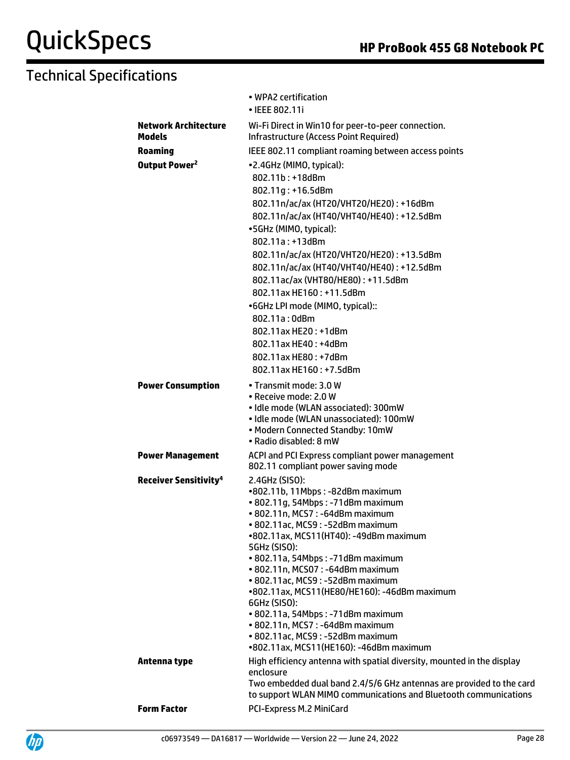|                                              | • WPA2 certification<br>• IEEE 802.11i                                                                                                                                                                                                                                                                                                                                                                                                                                                                                                                              |
|----------------------------------------------|---------------------------------------------------------------------------------------------------------------------------------------------------------------------------------------------------------------------------------------------------------------------------------------------------------------------------------------------------------------------------------------------------------------------------------------------------------------------------------------------------------------------------------------------------------------------|
| <b>Network Architecture</b><br><b>Models</b> | Wi-Fi Direct in Win10 for peer-to-peer connection.<br><b>Infrastructure (Access Point Required)</b>                                                                                                                                                                                                                                                                                                                                                                                                                                                                 |
| <b>Roaming</b>                               | IEEE 802.11 compliant roaming between access points                                                                                                                                                                                                                                                                                                                                                                                                                                                                                                                 |
| Output Power <sup>2</sup>                    | •2.4GHz (MIMO, typical):                                                                                                                                                                                                                                                                                                                                                                                                                                                                                                                                            |
|                                              | 802.11b: +18dBm                                                                                                                                                                                                                                                                                                                                                                                                                                                                                                                                                     |
|                                              | 802.11g: +16.5dBm                                                                                                                                                                                                                                                                                                                                                                                                                                                                                                                                                   |
|                                              | 802.11n/ac/ax (HT20/VHT20/HE20): +16dBm                                                                                                                                                                                                                                                                                                                                                                                                                                                                                                                             |
|                                              | 802.11n/ac/ax (HT40/VHT40/HE40): +12.5dBm                                                                                                                                                                                                                                                                                                                                                                                                                                                                                                                           |
|                                              | •5GHz (MIMO, typical):                                                                                                                                                                                                                                                                                                                                                                                                                                                                                                                                              |
|                                              | 802.11a: +13dBm                                                                                                                                                                                                                                                                                                                                                                                                                                                                                                                                                     |
|                                              | 802.11n/ac/ax (HT20/VHT20/HE20): +13.5dBm                                                                                                                                                                                                                                                                                                                                                                                                                                                                                                                           |
|                                              | 802.11n/ac/ax (HT40/VHT40/HE40): +12.5dBm                                                                                                                                                                                                                                                                                                                                                                                                                                                                                                                           |
|                                              | 802.11ac/ax (VHT80/HE80): +11.5dBm                                                                                                                                                                                                                                                                                                                                                                                                                                                                                                                                  |
|                                              | 802.11ax HE160: +11.5dBm                                                                                                                                                                                                                                                                                                                                                                                                                                                                                                                                            |
|                                              | •6GHz LPI mode (MIMO, typical)::                                                                                                                                                                                                                                                                                                                                                                                                                                                                                                                                    |
|                                              | 802.11a: 0dBm                                                                                                                                                                                                                                                                                                                                                                                                                                                                                                                                                       |
|                                              | 802.11ax HE20: +1dBm                                                                                                                                                                                                                                                                                                                                                                                                                                                                                                                                                |
|                                              | 802.11ax HE40: +4dBm                                                                                                                                                                                                                                                                                                                                                                                                                                                                                                                                                |
|                                              | 802.11ax HE80: +7dBm                                                                                                                                                                                                                                                                                                                                                                                                                                                                                                                                                |
|                                              | 802.11ax HE160: +7.5dBm                                                                                                                                                                                                                                                                                                                                                                                                                                                                                                                                             |
| <b>Power Consumption</b>                     | • Transmit mode: 3.0 W<br>• Receive mode: 2.0 W<br>• Idle mode (WLAN associated): 300mW<br>· Idle mode (WLAN unassociated): 100mW<br>• Modern Connected Standby: 10mW<br>• Radio disabled: 8 mW                                                                                                                                                                                                                                                                                                                                                                     |
|                                              |                                                                                                                                                                                                                                                                                                                                                                                                                                                                                                                                                                     |
| <b>Power Management</b>                      | ACPI and PCI Express compliant power management<br>802.11 compliant power saving mode                                                                                                                                                                                                                                                                                                                                                                                                                                                                               |
| <b>Receiver Sensitivity<sup>4</sup></b>      | 2.4GHz (SISO):<br>•802.11b, 11Mbps: -82dBm maximum<br>• 802.11g, 54Mbps: -71dBm maximum<br>• 802.11n, MCS7: -64dBm maximum<br>• 802.11ac, MCS9: -52dBm maximum<br>•802.11ax, MCS11(HT40): -49dBm maximum<br><b>5GHz (SISO):</b><br>· 802.11a, 54Mbps: -71dBm maximum<br>• 802.11n, MCS07: -64dBm maximum<br>• 802.11ac, MCS9: -52dBm maximum<br>•802.11ax, MCS11(HE80/HE160): -46dBm maximum<br>6GHz (SISO):<br>• 802.11a, 54Mbps: -71dBm maximum<br>• 802.11n, MCS7: -64dBm maximum<br>· 802.11ac, MCS9: -52dBm maximum<br>•802.11ax, MCS11(HE160): -46dBm maximum |
| Antenna type                                 | High efficiency antenna with spatial diversity, mounted in the display<br>enclosure                                                                                                                                                                                                                                                                                                                                                                                                                                                                                 |
|                                              | Two embedded dual band 2.4/5/6 GHz antennas are provided to the card<br>to support WLAN MIMO communications and Bluetooth communications                                                                                                                                                                                                                                                                                                                                                                                                                            |
| <b>Form Factor</b>                           | PCI-Express M.2 MiniCard                                                                                                                                                                                                                                                                                                                                                                                                                                                                                                                                            |
|                                              |                                                                                                                                                                                                                                                                                                                                                                                                                                                                                                                                                                     |

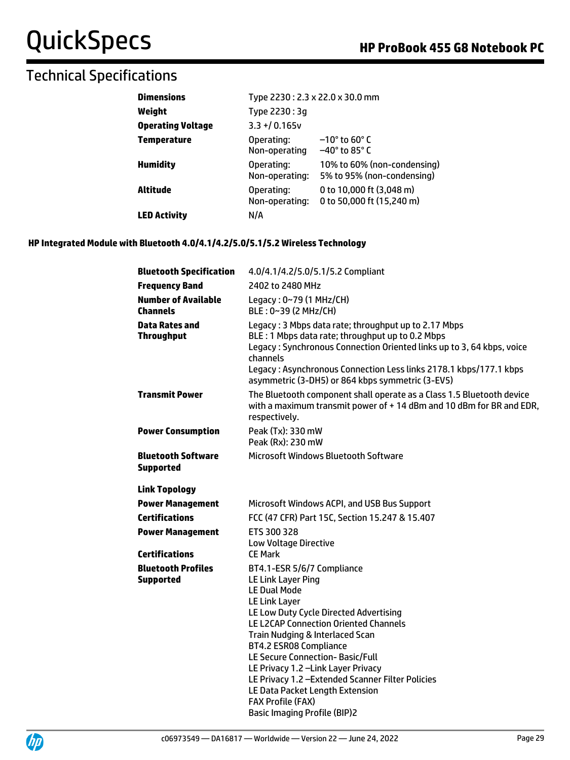# Technical Specifications

| <b>Dimensions</b>        | Type 2230: 2.3 x 22.0 x 30.0 mm |                                                           |
|--------------------------|---------------------------------|-----------------------------------------------------------|
| Weight                   | Type 2230 : 3q                  |                                                           |
| <b>Operating Voltage</b> | $3.3 + 0.165v$                  |                                                           |
| <b>Temperature</b>       | Operating:<br>Non-operating     | $-10^{\circ}$ to 60° C<br>$-40^\circ$ to 85° C            |
| <b>Humidity</b>          | Operating:<br>Non-operating:    | 10% to 60% (non-condensing)<br>5% to 95% (non-condensing) |
| Altitude                 | Operating:<br>Non-operating:    | 0 to 10,000 ft (3,048 m)<br>0 to 50,000 ft (15,240 m)     |
| <b>LED Activity</b>      | N/A                             |                                                           |

#### **HP Integrated Module with Bluetooth 4.0/4.1/4.2/5.0/5.1/5.2 Wireless Technology**

| <b>Bluetooth Specification</b>                | 4.0/4.1/4.2/5.0/5.1/5.2 Compliant                                                                                                                                                                                                                                                                                                                                                                                                                                                    |  |  |
|-----------------------------------------------|--------------------------------------------------------------------------------------------------------------------------------------------------------------------------------------------------------------------------------------------------------------------------------------------------------------------------------------------------------------------------------------------------------------------------------------------------------------------------------------|--|--|
| <b>Frequency Band</b>                         | 2402 to 2480 MHz                                                                                                                                                                                                                                                                                                                                                                                                                                                                     |  |  |
| <b>Number of Available</b><br><b>Channels</b> | Legacy: 0~79 (1 MHz/CH)<br>BLE: 0~39 (2 MHz/CH)                                                                                                                                                                                                                                                                                                                                                                                                                                      |  |  |
| <b>Data Rates and</b><br><b>Throughput</b>    | Legacy: 3 Mbps data rate; throughput up to 2.17 Mbps<br>BLE: 1 Mbps data rate; throughput up to 0.2 Mbps<br>Legacy: Synchronous Connection Oriented links up to 3, 64 kbps, voice<br>channels<br>Legacy: Asynchronous Connection Less links 2178.1 kbps/177.1 kbps<br>asymmetric (3-DH5) or 864 kbps symmetric (3-EV5)                                                                                                                                                               |  |  |
| <b>Transmit Power</b>                         | The Bluetooth component shall operate as a Class 1.5 Bluetooth device<br>with a maximum transmit power of +14 dBm and 10 dBm for BR and EDR,<br>respectively.                                                                                                                                                                                                                                                                                                                        |  |  |
| <b>Power Consumption</b>                      | Peak (Tx): 330 mW<br>Peak (Rx): 230 mW                                                                                                                                                                                                                                                                                                                                                                                                                                               |  |  |
| <b>Bluetooth Software</b><br><b>Supported</b> | <b>Microsoft Windows Bluetooth Software</b>                                                                                                                                                                                                                                                                                                                                                                                                                                          |  |  |
| <b>Link Topology</b>                          |                                                                                                                                                                                                                                                                                                                                                                                                                                                                                      |  |  |
| <b>Power Management</b>                       | Microsoft Windows ACPI, and USB Bus Support                                                                                                                                                                                                                                                                                                                                                                                                                                          |  |  |
| <b>Certifications</b>                         | FCC (47 CFR) Part 15C, Section 15.247 & 15.407                                                                                                                                                                                                                                                                                                                                                                                                                                       |  |  |
| <b>Power Management</b>                       | ETS 300 328<br>Low Voltage Directive                                                                                                                                                                                                                                                                                                                                                                                                                                                 |  |  |
| <b>Certifications</b>                         | <b>CE Mark</b>                                                                                                                                                                                                                                                                                                                                                                                                                                                                       |  |  |
| <b>Bluetooth Profiles</b><br><b>Supported</b> | BT4.1-ESR 5/6/7 Compliance<br><b>LE Link Layer Ping</b><br><b>LE Dual Mode</b><br>LE Link Layer<br>LE Low Duty Cycle Directed Advertising<br>LE L2CAP Connection Oriented Channels<br>Train Nudging & Interlaced Scan<br>BT4.2 ESR08 Compliance<br>LE Secure Connection-Basic/Full<br>LE Privacy 1.2 - Link Layer Privacy<br>LE Privacy 1.2 - Extended Scanner Filter Policies<br>LE Data Packet Length Extension<br><b>FAX Profile (FAX)</b><br><b>Basic Imaging Profile (BIP)2</b> |  |  |

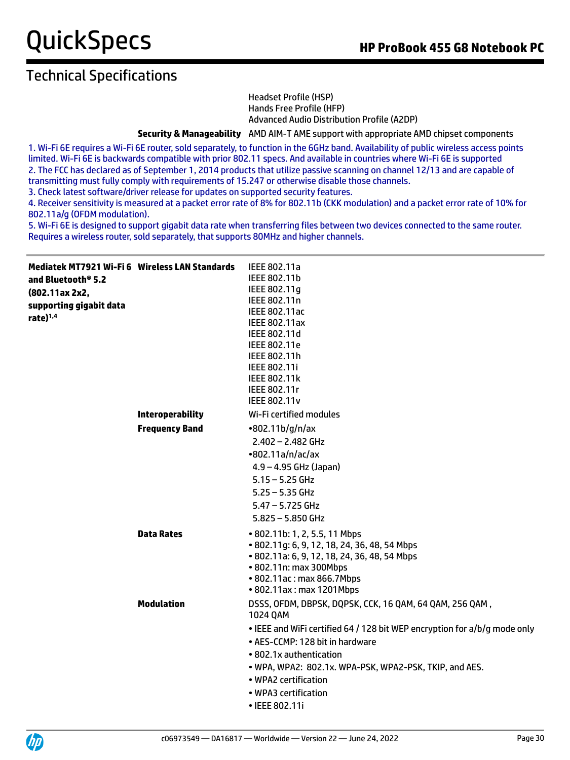Headset Profile (HSP) Hands Free Profile (HFP) Advanced Audio Distribution Profile (A2DP)

**Security & Manageability** AMD AIM-T AME support with appropriate AMD chipset components

1. Wi-Fi 6E requires a Wi-Fi 6E router, sold separately, to function in the 6GHz band. Availability of public wireless access points limited. Wi-Fi 6E is backwards compatible with prior 802.11 specs. And available in countries where Wi-Fi 6E is supported 2. The FCC has declared as of September 1, 2014 products that utilize passive scanning on channel 12/13 and are capable of transmitting must fully comply with requirements of 15.247 or otherwise disable those channels.

3. Check latest software/driver release for updates on supported security features.

4. Receiver sensitivity is measured at a packet error rate of 8% for 802.11b (CKK modulation) and a packet error rate of 10% for 802.11a/g (OFDM modulation).

5. Wi-Fi 6E is designed to support gigabit data rate when transferring files between two devices connected to the same router. Requires a wireless router, sold separately, that supports 80MHz and higher channels.

| Mediatek MT7921 Wi-Fi 6 Wireless LAN Standards<br>and Bluetooth <sup>®</sup> 5.2<br>(802.11ax 2x2,<br>supporting gigabit data<br>$rate)$ <sup>1,4</sup> |                                            | IEEE 802.11a<br>IEEE 802.11b<br>IEEE 802.11g<br>IEEE 802.11n<br>IEEE 802.11ac<br>IEEE 802.11ax<br>IEEE 802.11d<br>IEEE 802.11e<br>IEEE 802.11h<br>IEEE 802.11i<br>IEEE 802.11k<br>IEEE 802.11r<br><b>IEEE 802.11v</b>                                                                                                                      |
|---------------------------------------------------------------------------------------------------------------------------------------------------------|--------------------------------------------|--------------------------------------------------------------------------------------------------------------------------------------------------------------------------------------------------------------------------------------------------------------------------------------------------------------------------------------------|
|                                                                                                                                                         | <b>Interoperability</b>                    | Wi-Fi certified modules                                                                                                                                                                                                                                                                                                                    |
|                                                                                                                                                         | <b>Frequency Band</b><br><b>Data Rates</b> | $-802.11b/g/n/ax$<br>$2.402 - 2.482$ GHz<br>•802.11a/n/ac/ax<br>$4.9 - 4.95$ GHz (Japan)<br>$5.15 - 5.25$ GHz<br>$5.25 - 5.35$ GHz<br>$5.47 - 5.725$ GHz<br>$5.825 - 5.850$ GHz<br>• 802.11b: 1, 2, 5.5, 11 Mbps<br>• 802.11g: 6, 9, 12, 18, 24, 36, 48, 54 Mbps                                                                           |
|                                                                                                                                                         |                                            | • 802.11a: 6, 9, 12, 18, 24, 36, 48, 54 Mbps<br>• 802.11n: max 300Mbps<br>• 802.11ac: max 866.7Mbps<br>• 802.11ax: max 1201Mbps                                                                                                                                                                                                            |
|                                                                                                                                                         | <b>Modulation</b>                          | DSSS, OFDM, DBPSK, DQPSK, CCK, 16 QAM, 64 QAM, 256 QAM,<br>1024 QAM<br>. IEEE and WiFi certified 64 / 128 bit WEP encryption for a/b/g mode only<br>• AES-CCMP: 128 bit in hardware<br>• 802.1x authentication<br>• WPA, WPA2: 802.1x. WPA-PSK, WPA2-PSK, TKIP, and AES.<br>• WPA2 certification<br>• WPA3 certification<br>• IEEE 802.11i |

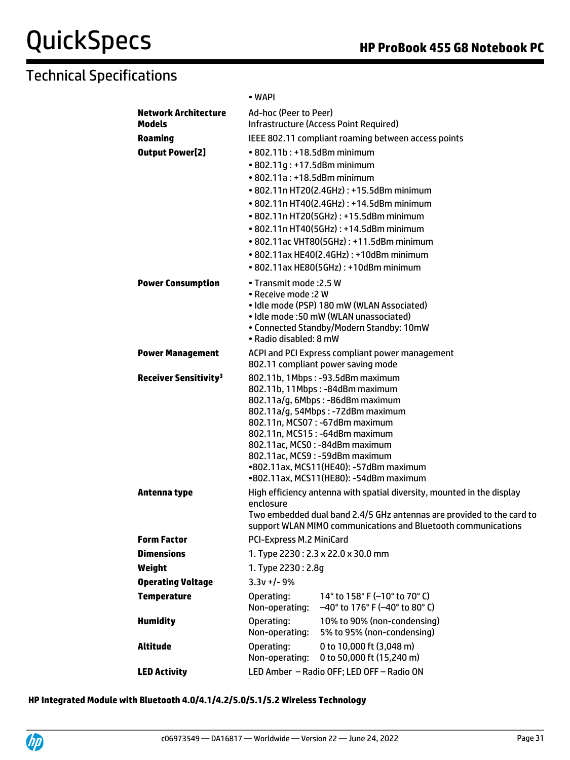# Technical Specifications

|                                              | • WAPI                                                                                                                                                                                                                                                                               |  |  |
|----------------------------------------------|--------------------------------------------------------------------------------------------------------------------------------------------------------------------------------------------------------------------------------------------------------------------------------------|--|--|
| <b>Network Architecture</b><br><b>Models</b> | Ad-hoc (Peer to Peer)<br><b>Infrastructure (Access Point Required)</b>                                                                                                                                                                                                               |  |  |
| <b>Roaming</b>                               | IEEE 802.11 compliant roaming between access points                                                                                                                                                                                                                                  |  |  |
| <b>Output Power[2]</b>                       | • 802.11b: +18.5dBm minimum                                                                                                                                                                                                                                                          |  |  |
|                                              | $\cdot$ 802.11q: +17.5dBm minimum                                                                                                                                                                                                                                                    |  |  |
|                                              | • 802.11a: +18.5dBm minimum                                                                                                                                                                                                                                                          |  |  |
|                                              | • 802.11n HT20(2.4GHz): +15.5dBm minimum<br>• 802.11n HT40(2.4GHz): +14.5dBm minimum                                                                                                                                                                                                 |  |  |
|                                              | • 802.11n HT20(5GHz): +15.5dBm minimum                                                                                                                                                                                                                                               |  |  |
|                                              | • 802.11n HT40(5GHz): +14.5dBm minimum                                                                                                                                                                                                                                               |  |  |
|                                              | • 802.11ac VHT80(5GHz): +11.5dBm minimum                                                                                                                                                                                                                                             |  |  |
|                                              | • 802.11ax HE40(2.4GHz): +10dBm minimum                                                                                                                                                                                                                                              |  |  |
|                                              | • 802.11ax HE80(5GHz): +10dBm minimum                                                                                                                                                                                                                                                |  |  |
| <b>Power Consumption</b>                     | • Transmit mode : 2.5 W                                                                                                                                                                                                                                                              |  |  |
|                                              | • Receive mode : 2 W<br>• Idle mode (PSP) 180 mW (WLAN Associated)                                                                                                                                                                                                                   |  |  |
|                                              | • Idle mode: 50 mW (WLAN unassociated)                                                                                                                                                                                                                                               |  |  |
|                                              | • Connected Standby/Modern Standby: 10mW                                                                                                                                                                                                                                             |  |  |
|                                              | • Radio disabled: 8 mW                                                                                                                                                                                                                                                               |  |  |
| <b>Power Management</b>                      | ACPI and PCI Express compliant power management<br>802.11 compliant power saving mode                                                                                                                                                                                                |  |  |
| <b>Receiver Sensitivity<sup>3</sup></b>      | 802.11b, 1Mbps: -93.5dBm maximum<br>802.11b, 11Mbps: -84dBm maximum<br>802.11a/g, 6Mbps: -86dBm maximum<br>802.11a/g, 54Mbps: -72dBm maximum<br>802.11n, MCS07: -67dBm maximum<br>802.11n, MCS15: -64dBm maximum<br>802.11ac, MCS0: -84dBm maximum<br>802.11ac, MCS9: -59dBm maximum |  |  |
|                                              |                                                                                                                                                                                                                                                                                      |  |  |
|                                              |                                                                                                                                                                                                                                                                                      |  |  |
|                                              |                                                                                                                                                                                                                                                                                      |  |  |
|                                              |                                                                                                                                                                                                                                                                                      |  |  |
|                                              |                                                                                                                                                                                                                                                                                      |  |  |
|                                              | •802.11ax, MCS11(HE40): -57dBm maximum                                                                                                                                                                                                                                               |  |  |
|                                              | •802.11ax, MCS11(HE80): -54dBm maximum                                                                                                                                                                                                                                               |  |  |
| Antenna type                                 | High efficiency antenna with spatial diversity, mounted in the display<br>enclosure                                                                                                                                                                                                  |  |  |
|                                              | Two embedded dual band 2.4/5 GHz antennas are provided to the card to                                                                                                                                                                                                                |  |  |
|                                              | support WLAN MIMO communications and Bluetooth communications                                                                                                                                                                                                                        |  |  |
| <b>Form Factor</b>                           | PCI-Express M.2 MiniCard                                                                                                                                                                                                                                                             |  |  |
| <b>Dimensions</b>                            | 1. Type 2230: 2.3 x 22.0 x 30.0 mm                                                                                                                                                                                                                                                   |  |  |
| Weight                                       | 1. Type 2230: 2.8g                                                                                                                                                                                                                                                                   |  |  |
| <b>Operating Voltage</b>                     | $3.3v + 1 - 9%$                                                                                                                                                                                                                                                                      |  |  |
| <b>Temperature</b>                           | 14° to 158° F (-10° to 70° C)<br>Operating:<br>Non-operating:<br>$-40^{\circ}$ to 176° F (-40° to 80° C)                                                                                                                                                                             |  |  |
| <b>Humidity</b>                              | Operating:<br>10% to 90% (non-condensing)<br>Non-operating:<br>5% to 95% (non-condensing)                                                                                                                                                                                            |  |  |
| <b>Altitude</b>                              | 0 to 10,000 ft (3,048 m)<br>Operating:<br>0 to 50,000 ft (15,240 m)<br>Non-operating:                                                                                                                                                                                                |  |  |
| <b>LED Activity</b>                          | LED Amber - Radio OFF; LED OFF - Radio ON                                                                                                                                                                                                                                            |  |  |

#### **HP Integrated Module with Bluetooth 4.0/4.1/4.2/5.0/5.1/5.2 Wireless Technology**

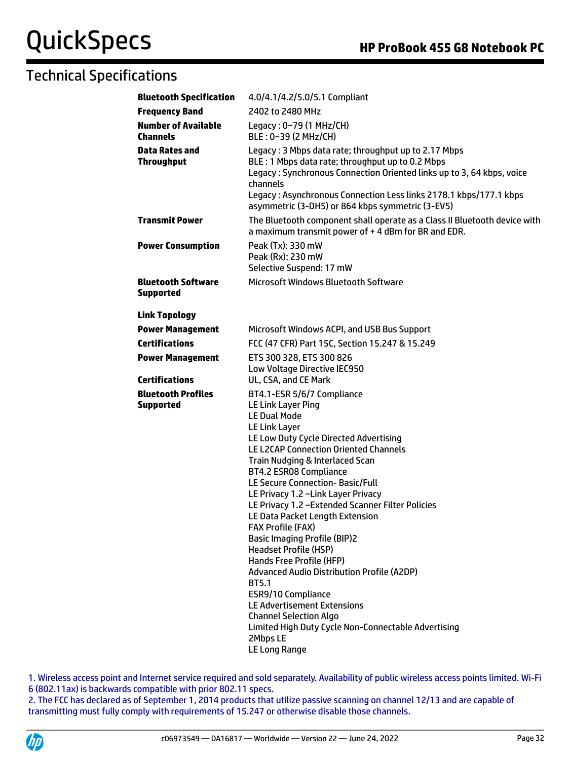| <b>Bluetooth Specification</b>                   | 4.0/4.1/4.2/5.0/5.1 Compliant                                                                                                                                                                                                                                                                                                                                                                                                                                                                                                                                                                                                                                                                                                                                                   |  |  |
|--------------------------------------------------|---------------------------------------------------------------------------------------------------------------------------------------------------------------------------------------------------------------------------------------------------------------------------------------------------------------------------------------------------------------------------------------------------------------------------------------------------------------------------------------------------------------------------------------------------------------------------------------------------------------------------------------------------------------------------------------------------------------------------------------------------------------------------------|--|--|
| <b>Frequency Band</b>                            | 2402 to 2480 MHz                                                                                                                                                                                                                                                                                                                                                                                                                                                                                                                                                                                                                                                                                                                                                                |  |  |
| <b>Number of Available</b><br><b>Channels</b>    | Legacy: 0~79 (1 MHz/CH)<br>BLE: 0~39 (2 MHz/CH)                                                                                                                                                                                                                                                                                                                                                                                                                                                                                                                                                                                                                                                                                                                                 |  |  |
| Data Rates and<br><b>Throughput</b>              | Legacy: 3 Mbps data rate; throughput up to 2.17 Mbps<br>BLE: 1 Mbps data rate; throughput up to 0.2 Mbps<br>Legacy: Synchronous Connection Oriented links up to 3, 64 kbps, voice<br>channels<br>Legacy: Asynchronous Connection Less links 2178.1 kbps/177.1 kbps<br>asymmetric (3-DH5) or 864 kbps symmetric (3-EV5)                                                                                                                                                                                                                                                                                                                                                                                                                                                          |  |  |
| <b>Transmit Power</b>                            | The Bluetooth component shall operate as a Class II Bluetooth device with<br>a maximum transmit power of +4 dBm for BR and EDR.                                                                                                                                                                                                                                                                                                                                                                                                                                                                                                                                                                                                                                                 |  |  |
| <b>Power Consumption</b>                         | Peak (Tx): 330 mW<br>Peak (Rx): 230 mW<br>Selective Suspend: 17 mW                                                                                                                                                                                                                                                                                                                                                                                                                                                                                                                                                                                                                                                                                                              |  |  |
| <b>Bluetooth Software</b><br><b>Supported</b>    | <b>Microsoft Windows Bluetooth Software</b>                                                                                                                                                                                                                                                                                                                                                                                                                                                                                                                                                                                                                                                                                                                                     |  |  |
| <b>Link Topology</b>                             |                                                                                                                                                                                                                                                                                                                                                                                                                                                                                                                                                                                                                                                                                                                                                                                 |  |  |
| <b>Power Management</b>                          | Microsoft Windows ACPI, and USB Bus Support                                                                                                                                                                                                                                                                                                                                                                                                                                                                                                                                                                                                                                                                                                                                     |  |  |
| <b>Certifications</b>                            | FCC (47 CFR) Part 15C, Section 15.247 & 15.249                                                                                                                                                                                                                                                                                                                                                                                                                                                                                                                                                                                                                                                                                                                                  |  |  |
| <b>Power Management</b><br><b>Certifications</b> | ETS 300 328, ETS 300 826<br>Low Voltage Directive IEC950                                                                                                                                                                                                                                                                                                                                                                                                                                                                                                                                                                                                                                                                                                                        |  |  |
| <b>Bluetooth Profiles</b>                        | UL, CSA, and CE Mark<br>BT4.1-ESR 5/6/7 Compliance                                                                                                                                                                                                                                                                                                                                                                                                                                                                                                                                                                                                                                                                                                                              |  |  |
| <b>Supported</b>                                 | LE Link Layer Ping<br><b>LE Dual Mode</b><br>LE Link Layer<br>LE Low Duty Cycle Directed Advertising<br>LE L2CAP Connection Oriented Channels<br>Train Nudging & Interlaced Scan<br><b>BT4.2 ESR08 Compliance</b><br>LE Secure Connection-Basic/Full<br>LE Privacy 1.2 - Link Layer Privacy<br>LE Privacy 1.2 - Extended Scanner Filter Policies<br>LE Data Packet Length Extension<br><b>FAX Profile (FAX)</b><br><b>Basic Imaging Profile (BIP)2</b><br><b>Headset Profile (HSP)</b><br>Hands Free Profile (HFP)<br><b>Advanced Audio Distribution Profile (A2DP)</b><br><b>BT5.1</b><br><b>ESR9/10 Compliance</b><br><b>LE Advertisement Extensions</b><br><b>Channel Selection Algo</b><br>Limited High Duty Cycle Non-Connectable Advertising<br>2Mbps LE<br>LE Long Range |  |  |

1. Wireless access point and Internet service required and sold separately. Availability of public wireless access points limited. Wi-Fi 6 (802.11ax) is backwards compatible with prior 802.11 specs.

2. The FCC has declared as of September 1, 2014 products that utilize passive scanning on channel 12/13 and are capable of transmitting must fully comply with requirements of 15.247 or otherwise disable those channels.

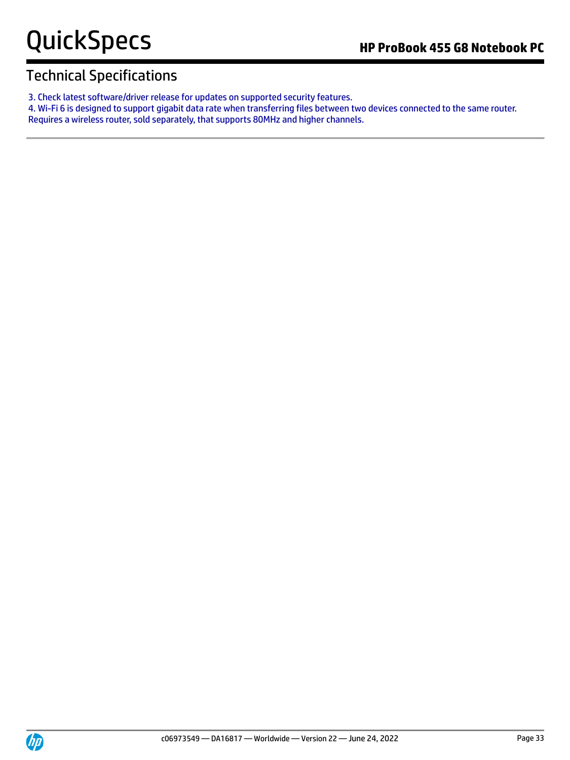- 3. Check latest software/driver release for updates on supported security features.
- 4. Wi-Fi 6 is designed to support gigabit data rate when transferring files between two devices connected to the same router.
- Requires a wireless router, sold separately, that supports 80MHz and higher channels.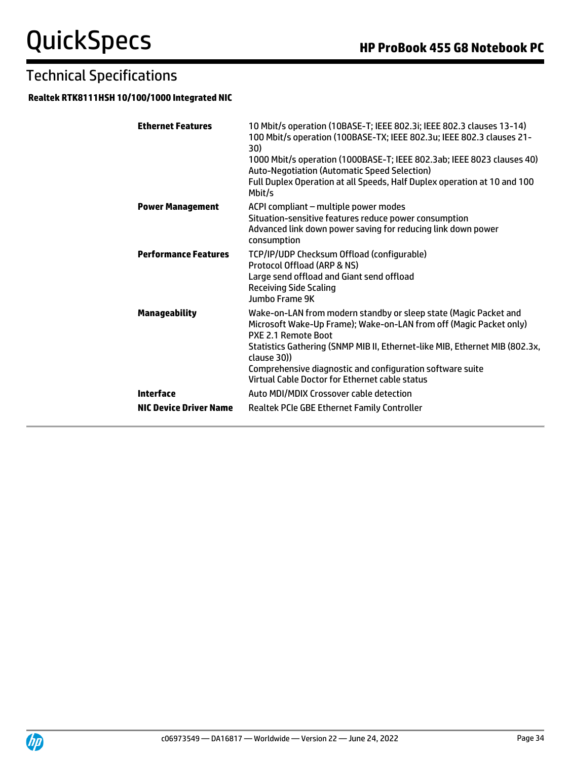### **Realtek RTK8111HSH 10/100/1000 Integrated NIC**

| <b>Ethernet Features</b>      | 10 Mbit/s operation (10BASE-T; IEEE 802.3i; IEEE 802.3 clauses 13-14)<br>100 Mbit/s operation (100BASE-TX; IEEE 802.3u; IEEE 802.3 clauses 21-<br>30)<br>1000 Mbit/s operation (1000BASE-T; IEEE 802.3ab; IEEE 8023 clauses 40)<br><b>Auto-Negotiation (Automatic Speed Selection)</b><br>Full Duplex Operation at all Speeds, Half Duplex operation at 10 and 100<br>Mbit/s |
|-------------------------------|------------------------------------------------------------------------------------------------------------------------------------------------------------------------------------------------------------------------------------------------------------------------------------------------------------------------------------------------------------------------------|
| <b>Power Management</b>       | ACPI compliant - multiple power modes<br>Situation-sensitive features reduce power consumption<br>Advanced link down power saving for reducing link down power<br>consumption                                                                                                                                                                                                |
| <b>Performance Features</b>   | TCP/IP/UDP Checksum Offload (configurable)<br>Protocol Offload (ARP & NS)<br>Large send offload and Giant send offload<br><b>Receiving Side Scaling</b><br>Jumbo Frame 9K                                                                                                                                                                                                    |
| Manageability                 | Wake-on-LAN from modern standby or sleep state (Magic Packet and<br>Microsoft Wake-Up Frame); Wake-on-LAN from off (Magic Packet only)<br>PXE 2.1 Remote Boot<br>Statistics Gathering (SNMP MIB II, Ethernet-like MIB, Ethernet MIB (802.3x,<br>clause 30))<br>Comprehensive diagnostic and configuration software suite<br>Virtual Cable Doctor for Ethernet cable status   |
| <b>Interface</b>              | Auto MDI/MDIX Crossover cable detection                                                                                                                                                                                                                                                                                                                                      |
| <b>NIC Device Driver Name</b> | Realtek PCIe GBE Ethernet Family Controller                                                                                                                                                                                                                                                                                                                                  |

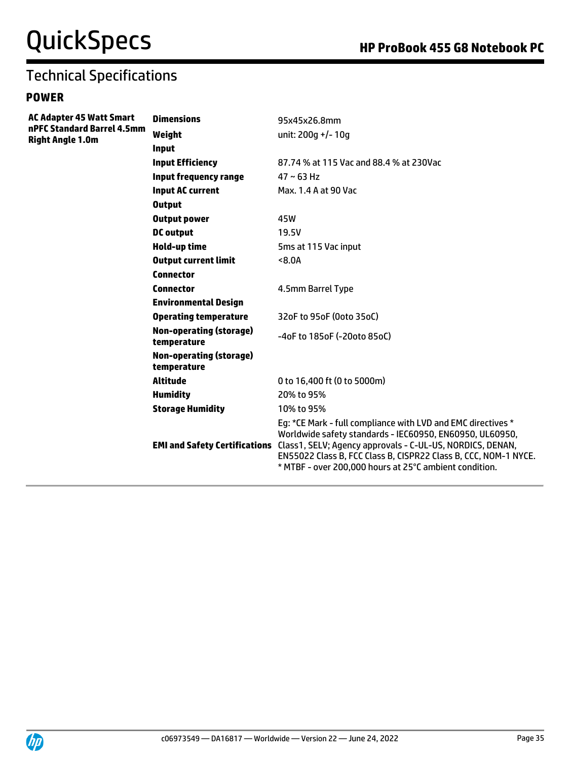### **POWER**

| <b>AC Adapter 45 Watt Smart</b><br>nPFC Standard Barrel 4.5mm<br><b>Right Angle 1.0m</b> | <b>Dimensions</b>                             | 95x45x26.8mm                                                                                                                                                                                                                                                                                                       |
|------------------------------------------------------------------------------------------|-----------------------------------------------|--------------------------------------------------------------------------------------------------------------------------------------------------------------------------------------------------------------------------------------------------------------------------------------------------------------------|
|                                                                                          | Weight                                        | unit: 200q +/- 10q                                                                                                                                                                                                                                                                                                 |
|                                                                                          | <b>Input</b>                                  |                                                                                                                                                                                                                                                                                                                    |
|                                                                                          | <b>Input Efficiency</b>                       | 87.74 % at 115 Vac and 88.4 % at 230Vac                                                                                                                                                                                                                                                                            |
|                                                                                          | <b>Input frequency range</b>                  | $47 \sim 63$ Hz                                                                                                                                                                                                                                                                                                    |
|                                                                                          | <b>Input AC current</b>                       | Max. 1.4 A at 90 Vac                                                                                                                                                                                                                                                                                               |
|                                                                                          | <b>Output</b>                                 |                                                                                                                                                                                                                                                                                                                    |
|                                                                                          | <b>Output power</b>                           | 45W                                                                                                                                                                                                                                                                                                                |
|                                                                                          | <b>DC</b> output                              | 19.5V                                                                                                                                                                                                                                                                                                              |
|                                                                                          | Hold-up time                                  | 5 <sub>ms</sub> at 115 Vac input                                                                                                                                                                                                                                                                                   |
|                                                                                          | <b>Output current limit</b>                   | 8.0A                                                                                                                                                                                                                                                                                                               |
|                                                                                          | <b>Connector</b>                              |                                                                                                                                                                                                                                                                                                                    |
|                                                                                          | <b>Connector</b>                              | 4.5mm Barrel Type                                                                                                                                                                                                                                                                                                  |
|                                                                                          | <b>Environmental Design</b>                   |                                                                                                                                                                                                                                                                                                                    |
|                                                                                          | <b>Operating temperature</b>                  | 32oF to 95oF (0oto 35oC)                                                                                                                                                                                                                                                                                           |
|                                                                                          | <b>Non-operating (storage)</b><br>temperature | -4oF to 185oF (-20oto 85oC)                                                                                                                                                                                                                                                                                        |
|                                                                                          | <b>Non-operating (storage)</b><br>temperature |                                                                                                                                                                                                                                                                                                                    |
|                                                                                          | Altitude                                      | 0 to 16,400 ft (0 to 5000m)                                                                                                                                                                                                                                                                                        |
|                                                                                          | <b>Humidity</b>                               | 20% to 95%                                                                                                                                                                                                                                                                                                         |
|                                                                                          | <b>Storage Humidity</b>                       | 10% to 95%                                                                                                                                                                                                                                                                                                         |
|                                                                                          | <b>EMI and Safety Certifications</b>          | Eg: *CE Mark - full compliance with LVD and EMC directives *<br>Worldwide safety standards - IEC60950, EN60950, UL60950,<br>Class1, SELV; Agency approvals - C-UL-US, NORDICS, DENAN,<br>EN55022 Class B, FCC Class B, CISPR22 Class B, CCC, NOM-1 NYCE.<br>* MTBF - over 200,000 hours at 25°C ambient condition. |

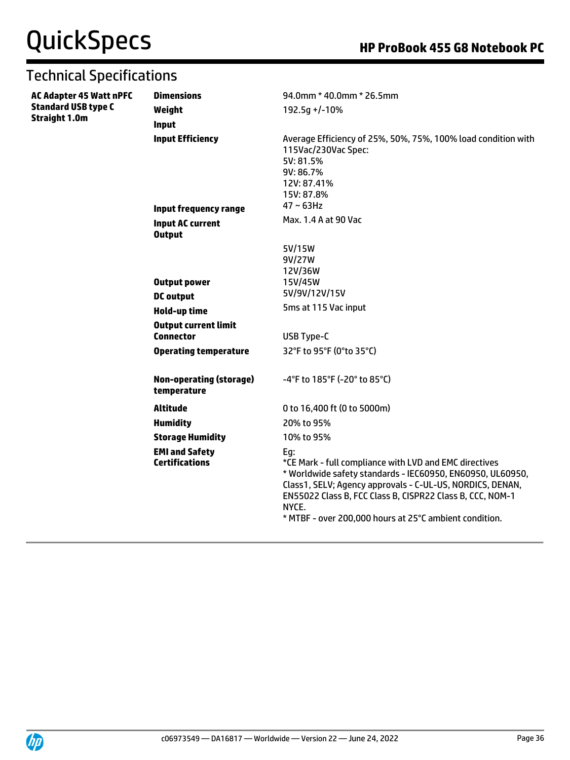| <b>AC Adapter 45 Watt nPFC</b> | <b>Dimensions</b>                                | 94.0mm * 40.0mm * 26.5mm                                                                                                                                                                                                                                                                                                 |
|--------------------------------|--------------------------------------------------|--------------------------------------------------------------------------------------------------------------------------------------------------------------------------------------------------------------------------------------------------------------------------------------------------------------------------|
| <b>Standard USB type C</b>     | Weight                                           | 192.5g +/-10%                                                                                                                                                                                                                                                                                                            |
| <b>Straight 1.0m</b>           | <b>Input</b>                                     |                                                                                                                                                                                                                                                                                                                          |
|                                | <b>Input Efficiency</b><br>Input frequency range | Average Efficiency of 25%, 50%, 75%, 100% load condition with<br>115Vac/230Vac Spec:<br>5V: 81.5%<br>9V: 86.7%<br>12V: 87.41%<br>15V: 87.8%<br>$47 \sim 63$ Hz                                                                                                                                                           |
|                                | <b>Input AC current</b>                          | Max. 1.4 A at 90 Vac                                                                                                                                                                                                                                                                                                     |
|                                | <b>Output</b>                                    |                                                                                                                                                                                                                                                                                                                          |
|                                | <b>Output power</b><br><b>DC</b> output          | 5V/15W<br>9V/27W<br>12V/36W<br>15V/45W<br>5V/9V/12V/15V                                                                                                                                                                                                                                                                  |
|                                | <b>Hold-up time</b>                              | 5ms at 115 Vac input                                                                                                                                                                                                                                                                                                     |
|                                | <b>Output current limit</b>                      |                                                                                                                                                                                                                                                                                                                          |
|                                | <b>Connector</b>                                 | USB Type-C                                                                                                                                                                                                                                                                                                               |
|                                | <b>Operating temperature</b>                     | 32°F to 95°F (0°to 35°C)                                                                                                                                                                                                                                                                                                 |
|                                | <b>Non-operating (storage)</b><br>temperature    | -4°F to 185°F (-20° to 85°C)                                                                                                                                                                                                                                                                                             |
|                                | <b>Altitude</b>                                  | 0 to 16,400 ft (0 to 5000m)                                                                                                                                                                                                                                                                                              |
|                                | <b>Humidity</b>                                  | 20% to 95%                                                                                                                                                                                                                                                                                                               |
|                                | <b>Storage Humidity</b>                          | 10% to 95%                                                                                                                                                                                                                                                                                                               |
|                                | <b>EMI and Safety</b><br><b>Certifications</b>   | Eq:<br>*CE Mark - full compliance with LVD and EMC directives<br>* Worldwide safety standards - IEC60950, EN60950, UL60950,<br>Class1, SELV; Agency approvals - C-UL-US, NORDICS, DENAN,<br>EN55022 Class B, FCC Class B, CISPR22 Class B, CCC, NOM-1<br>NYCE.<br>* MTBF - over 200,000 hours at 25°C ambient condition. |

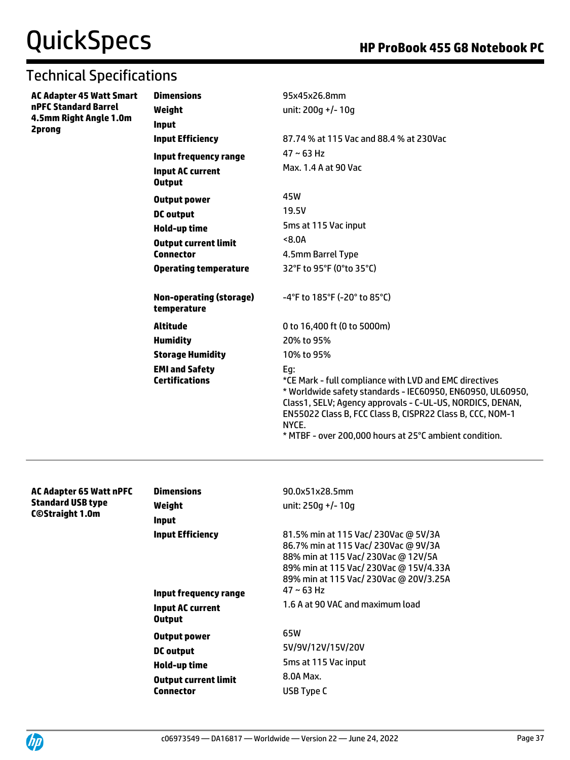## Technical Specifications

| <b>AC Adapter 45 Watt Smart</b>  | <b>Dimensions</b>                              | 95x45x26.8mm                                                                                                                                                                                                                                                                                                             |
|----------------------------------|------------------------------------------------|--------------------------------------------------------------------------------------------------------------------------------------------------------------------------------------------------------------------------------------------------------------------------------------------------------------------------|
| nPFC Standard Barrel             | Weight                                         | unit: 200q +/- 10q                                                                                                                                                                                                                                                                                                       |
| 4.5mm Right Angle 1.0m<br>2prong | <b>Input</b>                                   |                                                                                                                                                                                                                                                                                                                          |
|                                  | <b>Input Efficiency</b>                        | 87.74 % at 115 Vac and 88.4 % at 230Vac                                                                                                                                                                                                                                                                                  |
|                                  | Input frequency range                          | $47 \sim 63$ Hz                                                                                                                                                                                                                                                                                                          |
|                                  | <b>Input AC current</b><br><b>Output</b>       | Max, 1.4 A at 90 Vac                                                                                                                                                                                                                                                                                                     |
|                                  | <b>Output power</b>                            | 45W                                                                                                                                                                                                                                                                                                                      |
|                                  | <b>DC</b> output                               | 19.5V                                                                                                                                                                                                                                                                                                                    |
|                                  | <b>Hold-up time</b>                            | 5ms at 115 Vac input                                                                                                                                                                                                                                                                                                     |
|                                  | <b>Output current limit</b>                    | <8.0A                                                                                                                                                                                                                                                                                                                    |
|                                  | <b>Connector</b>                               | 4.5mm Barrel Type                                                                                                                                                                                                                                                                                                        |
|                                  | <b>Operating temperature</b>                   | 32°F to 95°F (0°to 35°C)                                                                                                                                                                                                                                                                                                 |
|                                  | <b>Non-operating (storage)</b><br>temperature  | $-4^{\circ}$ F to 185 $^{\circ}$ F (-20 $^{\circ}$ to 85 $^{\circ}$ C)                                                                                                                                                                                                                                                   |
|                                  | <b>Altitude</b>                                | 0 to 16,400 ft (0 to 5000m)                                                                                                                                                                                                                                                                                              |
|                                  | <b>Humidity</b>                                | 20% to 95%                                                                                                                                                                                                                                                                                                               |
|                                  | <b>Storage Humidity</b>                        | 10% to 95%                                                                                                                                                                                                                                                                                                               |
|                                  | <b>EMI and Safety</b><br><b>Certifications</b> | Eq:<br>*CE Mark - full compliance with LVD and EMC directives<br>* Worldwide safety standards - IEC60950, EN60950, UL60950,<br>Class1, SELV; Agency approvals - C-UL-US, NORDICS, DENAN,<br>EN55022 Class B, FCC Class B, CISPR22 Class B, CCC, NOM-1<br>NYCE.<br>* MTBF - over 200,000 hours at 25°C ambient condition. |

| AC Adapter 65 Watt nPFC  | <b>Dimensions</b>                                                                  | 90.0x51x28.5mm                                                                                                                                                                                                                                                 |
|--------------------------|------------------------------------------------------------------------------------|----------------------------------------------------------------------------------------------------------------------------------------------------------------------------------------------------------------------------------------------------------------|
| <b>Standard USB type</b> | Weight                                                                             | unit: 250q +/- 10q                                                                                                                                                                                                                                             |
| <b>C©Straight 1.0m</b>   | <b>Input</b>                                                                       |                                                                                                                                                                                                                                                                |
|                          | <b>Input Efficiency</b><br><b>Input frequency range</b><br><b>Input AC current</b> | 81.5% min at 115 Vac/ 230Vac @ 5V/3A<br>86.7% min at 115 Vac/ 230Vac @ 9V/3A<br>88% min at 115 Vac/ 230Vac @ 12V/5A<br>89% min at 115 Vac/ 230Vac @ 15V/4.33A<br>89% min at 115 Vac/ 230Vac @ 20V/3.25A<br>$47 \sim 63$ Hz<br>1.6 A at 90 VAC and maximum load |
|                          | <b>Output</b>                                                                      | 65W                                                                                                                                                                                                                                                            |
|                          | <b>Output power</b><br>DC output                                                   | 5V/9V/12V/15V/20V                                                                                                                                                                                                                                              |
|                          | Hold-up time                                                                       | 5ms at 115 Vac input                                                                                                                                                                                                                                           |
|                          | Output current limit                                                               | 8.0A Max.                                                                                                                                                                                                                                                      |
|                          | Connector                                                                          | USB Type C                                                                                                                                                                                                                                                     |
|                          |                                                                                    |                                                                                                                                                                                                                                                                |

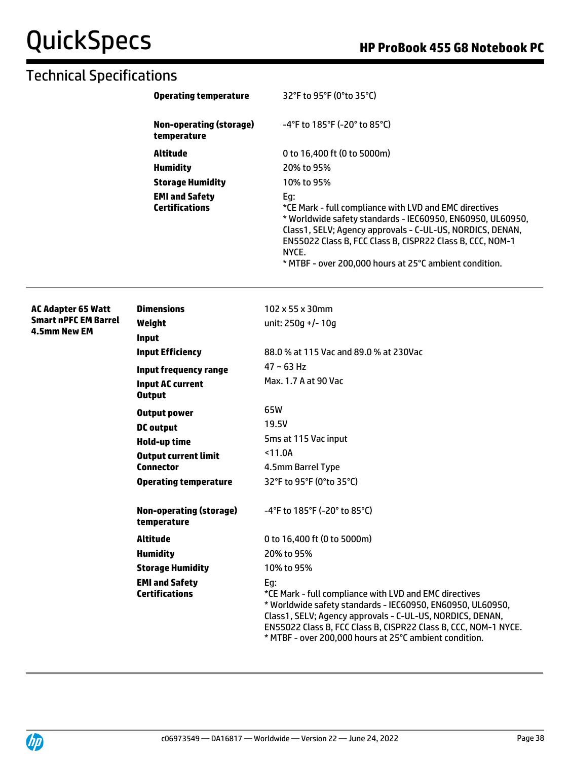| <b>Operating temperature</b>                   | 32°F to 95°F (0°to 35°C)                                                                                                                                                                                                                                                                                                 |
|------------------------------------------------|--------------------------------------------------------------------------------------------------------------------------------------------------------------------------------------------------------------------------------------------------------------------------------------------------------------------------|
| <b>Non-operating (storage)</b><br>temperature  | $-4^{\circ}$ F to 185 $^{\circ}$ F (-20 $^{\circ}$ to 85 $^{\circ}$ C)                                                                                                                                                                                                                                                   |
| Altitude                                       | 0 to 16,400 ft (0 to 5000m)                                                                                                                                                                                                                                                                                              |
| <b>Humidity</b>                                | 20% to 95%                                                                                                                                                                                                                                                                                                               |
| <b>Storage Humidity</b>                        | 10% to 95%                                                                                                                                                                                                                                                                                                               |
| <b>EMI and Safety</b><br><b>Certifications</b> | Eg:<br>*CE Mark - full compliance with LVD and EMC directives<br>* Worldwide safety standards - IEC60950, EN60950, UL60950,<br>Class1, SELV; Agency approvals - C-UL-US, NORDICS, DENAN,<br>EN55022 Class B, FCC Class B, CISPR22 Class B, CCC, NOM-1<br>NYCE.<br>* MTBF - over 200,000 hours at 25°C ambient condition. |

| <b>AC Adapter 65 Watt</b>   | <b>Dimensions</b>                               | 102 x 55 x 30mm                                                                                                                                                                                                                                                                                                       |
|-----------------------------|-------------------------------------------------|-----------------------------------------------------------------------------------------------------------------------------------------------------------------------------------------------------------------------------------------------------------------------------------------------------------------------|
| <b>Smart nPFC EM Barrel</b> | Weight                                          | unit: $250q$ +/- 10q                                                                                                                                                                                                                                                                                                  |
| <b>4.5mm New EM</b>         | <b>Input</b>                                    |                                                                                                                                                                                                                                                                                                                       |
|                             | <b>Input Efficiency</b>                         | 88.0 % at 115 Vac and 89.0 % at 230Vac                                                                                                                                                                                                                                                                                |
|                             | Input frequency range                           | $47 \sim 63$ Hz                                                                                                                                                                                                                                                                                                       |
|                             | <b>Input AC current</b><br><b>Output</b>        | Max. 1.7 A at 90 Vac                                                                                                                                                                                                                                                                                                  |
|                             | <b>Output power</b>                             | 65W                                                                                                                                                                                                                                                                                                                   |
|                             | <b>DC</b> output                                | 19.5V                                                                                                                                                                                                                                                                                                                 |
|                             | <b>Hold-up time</b>                             | 5ms at 115 Vac input                                                                                                                                                                                                                                                                                                  |
|                             | <b>Output current limit</b><br><b>Connector</b> | < 11.0A                                                                                                                                                                                                                                                                                                               |
|                             |                                                 | 4.5mm Barrel Type                                                                                                                                                                                                                                                                                                     |
|                             | <b>Operating temperature</b>                    | 32°F to 95°F (0°to 35°C)                                                                                                                                                                                                                                                                                              |
|                             | <b>Non-operating (storage)</b><br>temperature   | $-4^{\circ}$ F to 185 $^{\circ}$ F (-20 $^{\circ}$ to 85 $^{\circ}$ C)                                                                                                                                                                                                                                                |
|                             | <b>Altitude</b>                                 | 0 to 16,400 ft (0 to 5000m)                                                                                                                                                                                                                                                                                           |
|                             | <b>Humidity</b>                                 | 20% to 95%                                                                                                                                                                                                                                                                                                            |
|                             | <b>Storage Humidity</b>                         | 10% to 95%                                                                                                                                                                                                                                                                                                            |
|                             | <b>EMI and Safety</b><br><b>Certifications</b>  | Eq:<br>*CE Mark - full compliance with LVD and EMC directives<br>* Worldwide safety standards - IEC60950, EN60950, UL60950,<br>Class1, SELV; Agency approvals - C-UL-US, NORDICS, DENAN,<br>EN55022 Class B, FCC Class B, CISPR22 Class B, CCC, NOM-1 NYCE.<br>* MTBF - over 200,000 hours at 25°C ambient condition. |

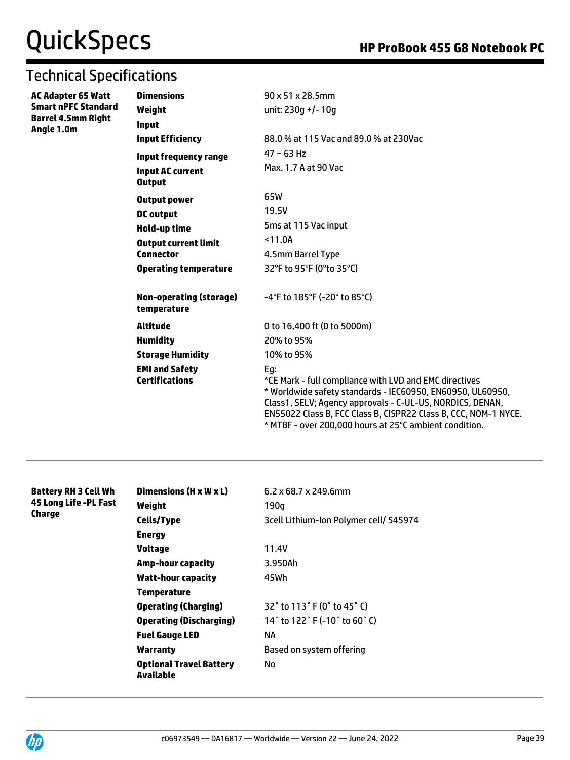| <b>AC Adapter 65 Watt</b>                                             | <b>Dimensions</b>                              | 90 x 51 x 28.5mm                                                                                                                                                                                                                                                                                                      |
|-----------------------------------------------------------------------|------------------------------------------------|-----------------------------------------------------------------------------------------------------------------------------------------------------------------------------------------------------------------------------------------------------------------------------------------------------------------------|
| <b>Smart nPFC Standard</b><br><b>Barrel 4.5mm Right</b><br>Angle 1.0m | Weight                                         | unit: 230q +/-10q                                                                                                                                                                                                                                                                                                     |
|                                                                       | <b>Input</b>                                   |                                                                                                                                                                                                                                                                                                                       |
|                                                                       | <b>Input Efficiency</b>                        | 88.0 % at 115 Vac and 89.0 % at 230Vac                                                                                                                                                                                                                                                                                |
|                                                                       | Input frequency range                          | $47 \sim 63$ Hz                                                                                                                                                                                                                                                                                                       |
|                                                                       | <b>Input AC current</b><br><b>Output</b>       | Max. 1.7 A at 90 Vac                                                                                                                                                                                                                                                                                                  |
|                                                                       | <b>Output power</b>                            | 65W                                                                                                                                                                                                                                                                                                                   |
|                                                                       | <b>DC</b> output                               | 19.5V                                                                                                                                                                                                                                                                                                                 |
|                                                                       | Hold-up time                                   | 5ms at 115 Vac input                                                                                                                                                                                                                                                                                                  |
|                                                                       | <b>Output current limit</b>                    | < 11.0A                                                                                                                                                                                                                                                                                                               |
|                                                                       | <b>Connector</b>                               | 4.5mm Barrel Type                                                                                                                                                                                                                                                                                                     |
|                                                                       | <b>Operating temperature</b>                   | 32°F to 95°F (0°to 35°C)                                                                                                                                                                                                                                                                                              |
|                                                                       | <b>Non-operating (storage)</b><br>temperature  | $-4^{\circ}$ F to 185°F (-20° to 85°C)                                                                                                                                                                                                                                                                                |
|                                                                       | <b>Altitude</b>                                | 0 to 16,400 ft (0 to 5000m)                                                                                                                                                                                                                                                                                           |
|                                                                       | <b>Humidity</b>                                | 20% to 95%                                                                                                                                                                                                                                                                                                            |
|                                                                       | <b>Storage Humidity</b>                        | 10% to 95%                                                                                                                                                                                                                                                                                                            |
|                                                                       | <b>EMI and Safety</b><br><b>Certifications</b> | Eg:<br>*CE Mark - full compliance with LVD and EMC directives<br>* Worldwide safety standards - IEC60950, EN60950, UL60950,<br>Class1, SELV; Agency approvals - C-UL-US, NORDICS, DENAN,<br>EN55022 Class B, FCC Class B, CISPR22 Class B, CCC, NOM-1 NYCE.<br>* MTBF - over 200,000 hours at 25°C ambient condition. |

| <b>Battery RH 3 Cell Wh</b> | Dimensions (H x W x L)                      | $6.2 \times 68.7 \times 249.6$ mm                                 |
|-----------------------------|---------------------------------------------|-------------------------------------------------------------------|
| 45 Long Life -PL Fast       | Weight                                      | 190q                                                              |
| Charge                      | Cells/Type                                  | 3cell Lithium-Ion Polymer cell/ 545974                            |
|                             | <b>Energy</b>                               |                                                                   |
|                             | <b>Voltage</b>                              | 11.4V                                                             |
|                             | <b>Amp-hour capacity</b>                    | 3.950Ah                                                           |
|                             | <b>Watt-hour capacity</b>                   | 45Wh                                                              |
|                             | <b>Temperature</b>                          |                                                                   |
|                             | <b>Operating (Charging)</b>                 | 32° to 113° F (0° to 45° C)                                       |
|                             | <b>Operating (Discharging)</b>              | 14 $\degree$ to 122 $\degree$ F (-10 $\degree$ to 60 $\degree$ C) |
|                             | <b>Fuel Gauge LED</b>                       | ΝA                                                                |
|                             | Warranty                                    | Based on system offering                                          |
|                             | <b>Optional Travel Battery</b><br>Available | No                                                                |

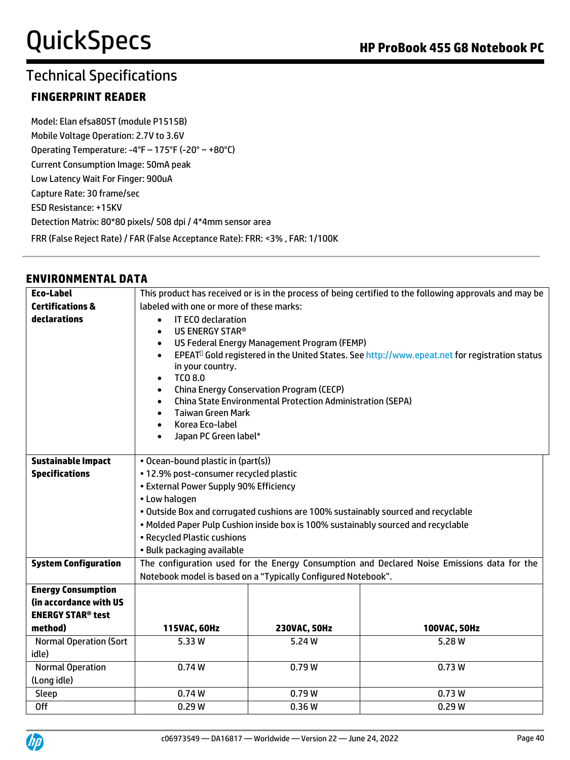### **FINGERPRINT READER**

Model: Elan efsa80ST (module P1515B) Mobile Voltage Operation: 2.7V to 3.6V Operating Temperature: -4°F – 175°F (-20° ~ +80°C) Current Consumption Image: 50mA peak Low Latency Wait For Finger: 900uA Capture Rate: 30 frame/sec ESD Resistance: +15KV Detection Matrix: 80\*80 pixels/ 508 dpi / 4\*4mm sensor area FRR (False Reject Rate) / FAR (False Acceptance Rate): FRR: <3% , FAR: 1/100K

| <b>Eco-Label</b>                    |                                                                                                                                                                                                                                                                                                                                                                                                                                                                                                                                                |              |                                                                                   |  |
|-------------------------------------|------------------------------------------------------------------------------------------------------------------------------------------------------------------------------------------------------------------------------------------------------------------------------------------------------------------------------------------------------------------------------------------------------------------------------------------------------------------------------------------------------------------------------------------------|--------------|-----------------------------------------------------------------------------------|--|
| <b>Certifications &amp;</b>         | This product has received or is in the process of being certified to the following approvals and may be<br>labeled with one or more of these marks:                                                                                                                                                                                                                                                                                                                                                                                            |              |                                                                                   |  |
| declarations                        | IT ECO declaration<br>$\bullet$<br>US ENERGY STAR®<br>$\bullet$<br>US Federal Energy Management Program (FEMP)<br>$\bullet$<br>EPEAT <sup>O</sup> Gold registered in the United States. See http://www.epeat.net for registration status<br>$\bullet$<br>in your country.<br>TCO 8.0<br>$\bullet$<br><b>China Energy Conservation Program (CECP)</b><br>$\bullet$<br>China State Environmental Protection Administration (SEPA)<br>$\bullet$<br><b>Taiwan Green Mark</b><br>$\bullet$<br>Korea Eco-label<br>$\bullet$<br>Japan PC Green label* |              |                                                                                   |  |
| <b>Sustainable Impact</b>           | • Ocean-bound plastic in (part(s))                                                                                                                                                                                                                                                                                                                                                                                                                                                                                                             |              |                                                                                   |  |
| <b>Specifications</b>               | . 12.9% post-consumer recycled plastic                                                                                                                                                                                                                                                                                                                                                                                                                                                                                                         |              |                                                                                   |  |
|                                     | • External Power Supply 90% Efficiency                                                                                                                                                                                                                                                                                                                                                                                                                                                                                                         |              |                                                                                   |  |
|                                     | • Low halogen                                                                                                                                                                                                                                                                                                                                                                                                                                                                                                                                  |              |                                                                                   |  |
|                                     |                                                                                                                                                                                                                                                                                                                                                                                                                                                                                                                                                |              | . Outside Box and corrugated cushions are 100% sustainably sourced and recyclable |  |
|                                     | . Molded Paper Pulp Cushion inside box is 100% sustainably sourced and recyclable                                                                                                                                                                                                                                                                                                                                                                                                                                                              |              |                                                                                   |  |
|                                     | · Recycled Plastic cushions                                                                                                                                                                                                                                                                                                                                                                                                                                                                                                                    |              |                                                                                   |  |
|                                     | · Bulk packaging available                                                                                                                                                                                                                                                                                                                                                                                                                                                                                                                     |              |                                                                                   |  |
| <b>System Configuration</b>         | The configuration used for the Energy Consumption and Declared Noise Emissions data for the                                                                                                                                                                                                                                                                                                                                                                                                                                                    |              |                                                                                   |  |
|                                     | Notebook model is based on a "Typically Configured Notebook".                                                                                                                                                                                                                                                                                                                                                                                                                                                                                  |              |                                                                                   |  |
| <b>Energy Consumption</b>           |                                                                                                                                                                                                                                                                                                                                                                                                                                                                                                                                                |              |                                                                                   |  |
| (in accordance with US              |                                                                                                                                                                                                                                                                                                                                                                                                                                                                                                                                                |              |                                                                                   |  |
| <b>ENERGY STAR<sup>®</sup> test</b> |                                                                                                                                                                                                                                                                                                                                                                                                                                                                                                                                                |              |                                                                                   |  |
|                                     |                                                                                                                                                                                                                                                                                                                                                                                                                                                                                                                                                |              |                                                                                   |  |
| method)                             | 115VAC, 60Hz                                                                                                                                                                                                                                                                                                                                                                                                                                                                                                                                   | 230VAC, 50Hz | 100VAC, 50Hz                                                                      |  |
| <b>Normal Operation (Sort</b>       | 5.33W                                                                                                                                                                                                                                                                                                                                                                                                                                                                                                                                          | 5.24W        | 5.28 W                                                                            |  |
| idle)                               |                                                                                                                                                                                                                                                                                                                                                                                                                                                                                                                                                |              |                                                                                   |  |
| <b>Normal Operation</b>             | 0.74W                                                                                                                                                                                                                                                                                                                                                                                                                                                                                                                                          | 0.79W        | 0.73W                                                                             |  |
| (Long idle)                         |                                                                                                                                                                                                                                                                                                                                                                                                                                                                                                                                                |              |                                                                                   |  |
| Sleep                               | 0.74W                                                                                                                                                                                                                                                                                                                                                                                                                                                                                                                                          | 0.79W        | 0.73W                                                                             |  |
| <b>Off</b>                          | 0.29W                                                                                                                                                                                                                                                                                                                                                                                                                                                                                                                                          | 0.36W        | 0.29W                                                                             |  |

## **ENVIRONMENTAL DATA**

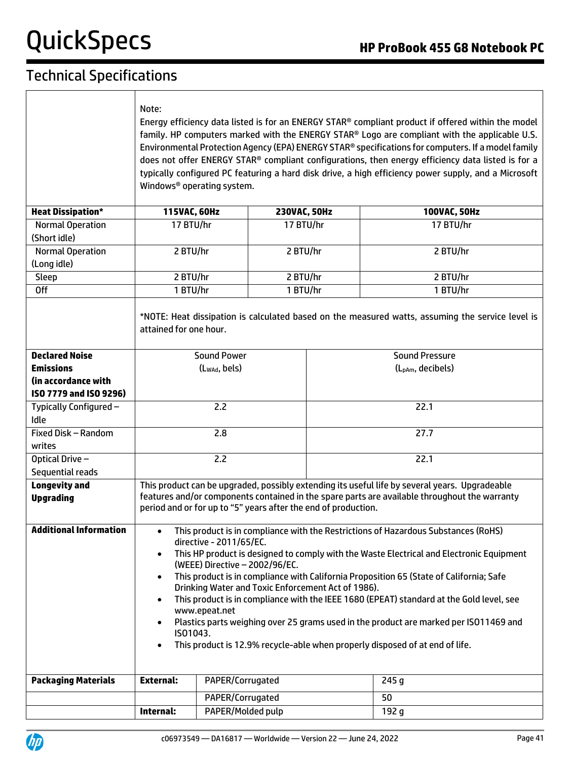|                                          | Note:<br>Energy efficiency data listed is for an ENERGY STAR <sup>®</sup> compliant product if offered within the model<br>family. HP computers marked with the ENERGY STAR® Logo are compliant with the applicable U.S.<br>Environmental Protection Agency (EPA) ENERGY STAR® specifications for computers. If a model family<br>does not offer ENERGY STAR <sup>®</sup> compliant configurations, then energy efficiency data listed is for a<br>typically configured PC featuring a hard disk drive, a high efficiency power supply, and a Microsoft<br>Windows <sup>®</sup> operating system.                                                                                                                                                                            |                        |  |                               |
|------------------------------------------|------------------------------------------------------------------------------------------------------------------------------------------------------------------------------------------------------------------------------------------------------------------------------------------------------------------------------------------------------------------------------------------------------------------------------------------------------------------------------------------------------------------------------------------------------------------------------------------------------------------------------------------------------------------------------------------------------------------------------------------------------------------------------|------------------------|--|-------------------------------|
| <b>Heat Dissipation*</b>                 | 115VAC, 60Hz                                                                                                                                                                                                                                                                                                                                                                                                                                                                                                                                                                                                                                                                                                                                                                 | 230VAC, 50Hz           |  | 100VAC, 50Hz                  |
| <b>Normal Operation</b><br>(Short idle)  | 17 BTU/hr                                                                                                                                                                                                                                                                                                                                                                                                                                                                                                                                                                                                                                                                                                                                                                    | 17 BTU/hr<br>17 BTU/hr |  |                               |
| <b>Normal Operation</b><br>(Long idle)   | 2 BTU/hr                                                                                                                                                                                                                                                                                                                                                                                                                                                                                                                                                                                                                                                                                                                                                                     | 2 BTU/hr               |  | 2 BTU/hr                      |
| Sleep                                    | 2 BTU/hr                                                                                                                                                                                                                                                                                                                                                                                                                                                                                                                                                                                                                                                                                                                                                                     | 2 BTU/hr               |  | 2 BTU/hr                      |
| 0ff                                      | 1 BTU/hr                                                                                                                                                                                                                                                                                                                                                                                                                                                                                                                                                                                                                                                                                                                                                                     | 1 BTU/hr               |  | 1 BTU/hr                      |
|                                          | *NOTE: Heat dissipation is calculated based on the measured watts, assuming the service level is<br>attained for one hour.                                                                                                                                                                                                                                                                                                                                                                                                                                                                                                                                                                                                                                                   |                        |  |                               |
| <b>Declared Noise</b>                    | <b>Sound Power</b>                                                                                                                                                                                                                                                                                                                                                                                                                                                                                                                                                                                                                                                                                                                                                           |                        |  | <b>Sound Pressure</b>         |
| <b>Emissions</b>                         | (Lwad, bels)                                                                                                                                                                                                                                                                                                                                                                                                                                                                                                                                                                                                                                                                                                                                                                 |                        |  | (L <sub>pAm</sub> , decibels) |
| (in accordance with                      |                                                                                                                                                                                                                                                                                                                                                                                                                                                                                                                                                                                                                                                                                                                                                                              |                        |  |                               |
| ISO 7779 and ISO 9296)                   |                                                                                                                                                                                                                                                                                                                                                                                                                                                                                                                                                                                                                                                                                                                                                                              |                        |  |                               |
| Typically Configured -<br>Idle           |                                                                                                                                                                                                                                                                                                                                                                                                                                                                                                                                                                                                                                                                                                                                                                              | 2.2<br>22.1            |  |                               |
| Fixed Disk - Random<br>writes            |                                                                                                                                                                                                                                                                                                                                                                                                                                                                                                                                                                                                                                                                                                                                                                              | 27.7<br>2.8            |  |                               |
| Optical Drive-                           | 2.2                                                                                                                                                                                                                                                                                                                                                                                                                                                                                                                                                                                                                                                                                                                                                                          | 22.1                   |  |                               |
| Sequential reads                         |                                                                                                                                                                                                                                                                                                                                                                                                                                                                                                                                                                                                                                                                                                                                                                              |                        |  |                               |
| <b>Longevity and</b><br><b>Upgrading</b> | This product can be upgraded, possibly extending its useful life by several years. Upgradeable<br>features and/or components contained in the spare parts are available throughout the warranty<br>period and or for up to "5" years after the end of production.                                                                                                                                                                                                                                                                                                                                                                                                                                                                                                            |                        |  |                               |
| <b>Additional Information</b>            | This product is in compliance with the Restrictions of Hazardous Substances (RoHS)<br>$\bullet$<br>directive - 2011/65/EC.<br>This HP product is designed to comply with the Waste Electrical and Electronic Equipment<br>$\bullet$<br>(WEEE) Directive - 2002/96/EC.<br>This product is in compliance with California Proposition 65 (State of California; Safe<br>$\bullet$<br>Drinking Water and Toxic Enforcement Act of 1986).<br>This product is in compliance with the IEEE 1680 (EPEAT) standard at the Gold level, see<br>$\bullet$<br>www.epeat.net<br>Plastics parts weighing over 25 grams used in the product are marked per ISO11469 and<br>$\bullet$<br>ISO1043.<br>This product is 12.9% recycle-able when properly disposed of at end of life.<br>$\bullet$ |                        |  |                               |
| <b>Packaging Materials</b>               | <b>External:</b><br>PAPER/Corrugated<br>245 g                                                                                                                                                                                                                                                                                                                                                                                                                                                                                                                                                                                                                                                                                                                                |                        |  |                               |
|                                          | PAPER/Corrugated<br>50                                                                                                                                                                                                                                                                                                                                                                                                                                                                                                                                                                                                                                                                                                                                                       |                        |  |                               |
|                                          | Internal:<br>PAPER/Molded pulp<br>192 g                                                                                                                                                                                                                                                                                                                                                                                                                                                                                                                                                                                                                                                                                                                                      |                        |  |                               |
|                                          |                                                                                                                                                                                                                                                                                                                                                                                                                                                                                                                                                                                                                                                                                                                                                                              |                        |  |                               |

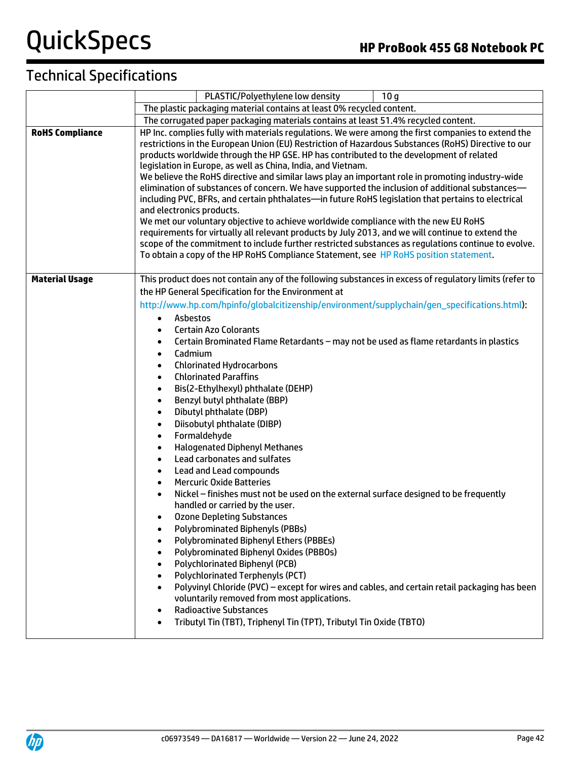|                        | PLASTIC/Polyethylene low density<br>10q                                                                                                                                                                                                                                                                                                                                                                                                                                                                                                                                                                                                                                                                                                                                                                                                                                                                                                                                                                                                                                                                                                                                                                                                                                                                                                                                                                                                                                                                                                                                                                                                                                                                                |  |  |  |  |
|------------------------|------------------------------------------------------------------------------------------------------------------------------------------------------------------------------------------------------------------------------------------------------------------------------------------------------------------------------------------------------------------------------------------------------------------------------------------------------------------------------------------------------------------------------------------------------------------------------------------------------------------------------------------------------------------------------------------------------------------------------------------------------------------------------------------------------------------------------------------------------------------------------------------------------------------------------------------------------------------------------------------------------------------------------------------------------------------------------------------------------------------------------------------------------------------------------------------------------------------------------------------------------------------------------------------------------------------------------------------------------------------------------------------------------------------------------------------------------------------------------------------------------------------------------------------------------------------------------------------------------------------------------------------------------------------------------------------------------------------------|--|--|--|--|
|                        | The plastic packaging material contains at least 0% recycled content.                                                                                                                                                                                                                                                                                                                                                                                                                                                                                                                                                                                                                                                                                                                                                                                                                                                                                                                                                                                                                                                                                                                                                                                                                                                                                                                                                                                                                                                                                                                                                                                                                                                  |  |  |  |  |
|                        | The corrugated paper packaging materials contains at least 51.4% recycled content.                                                                                                                                                                                                                                                                                                                                                                                                                                                                                                                                                                                                                                                                                                                                                                                                                                                                                                                                                                                                                                                                                                                                                                                                                                                                                                                                                                                                                                                                                                                                                                                                                                     |  |  |  |  |
| <b>RoHS Compliance</b> | HP Inc. complies fully with materials regulations. We were among the first companies to extend the<br>restrictions in the European Union (EU) Restriction of Hazardous Substances (RoHS) Directive to our<br>products worldwide through the HP GSE. HP has contributed to the development of related<br>legislation in Europe, as well as China, India, and Vietnam.<br>We believe the RoHS directive and similar laws play an important role in promoting industry-wide<br>elimination of substances of concern. We have supported the inclusion of additional substances-<br>including PVC, BFRs, and certain phthalates-in future RoHS legislation that pertains to electrical<br>and electronics products.<br>We met our voluntary objective to achieve worldwide compliance with the new EU RoHS<br>requirements for virtually all relevant products by July 2013, and we will continue to extend the<br>scope of the commitment to include further restricted substances as regulations continue to evolve.<br>To obtain a copy of the HP RoHS Compliance Statement, see HP RoHS position statement.                                                                                                                                                                                                                                                                                                                                                                                                                                                                                                                                                                                                             |  |  |  |  |
| <b>Material Usage</b>  | This product does not contain any of the following substances in excess of regulatory limits (refer to<br>the HP General Specification for the Environment at<br>http://www.hp.com/hpinfo/globalcitizenship/environment/supplychain/gen_specifications.html):<br>Asbestos<br>$\bullet$<br><b>Certain Azo Colorants</b><br>$\bullet$<br>Certain Brominated Flame Retardants - may not be used as flame retardants in plastics<br>$\bullet$<br>Cadmium<br>$\bullet$<br><b>Chlorinated Hydrocarbons</b><br>$\bullet$<br><b>Chlorinated Paraffins</b><br>$\bullet$<br>Bis(2-Ethylhexyl) phthalate (DEHP)<br>$\bullet$<br>Benzyl butyl phthalate (BBP)<br>$\bullet$<br>Dibutyl phthalate (DBP)<br>$\bullet$<br>Diisobutyl phthalate (DIBP)<br>$\bullet$<br>Formaldehyde<br>$\bullet$<br><b>Halogenated Diphenyl Methanes</b><br>$\bullet$<br>Lead carbonates and sulfates<br>$\bullet$<br>Lead and Lead compounds<br>$\bullet$<br><b>Mercuric Oxide Batteries</b><br>$\bullet$<br>Nickel - finishes must not be used on the external surface designed to be frequently<br>$\bullet$<br>handled or carried by the user.<br><b>Ozone Depleting Substances</b><br>$\bullet$<br>Polybrominated Biphenyls (PBBs)<br>٠<br><b>Polybrominated Biphenyl Ethers (PBBEs)</b><br>٠<br>Polybrominated Biphenyl Oxides (PBBOs)<br>$\bullet$<br>Polychlorinated Biphenyl (PCB)<br>$\bullet$<br>Polychlorinated Terphenyls (PCT)<br>$\bullet$<br>Polyvinyl Chloride (PVC) - except for wires and cables, and certain retail packaging has been<br>$\bullet$<br>voluntarily removed from most applications.<br><b>Radioactive Substances</b><br>$\bullet$<br>Tributyl Tin (TBT), Triphenyl Tin (TPT), Tributyl Tin Oxide (TBTO)<br>$\bullet$ |  |  |  |  |

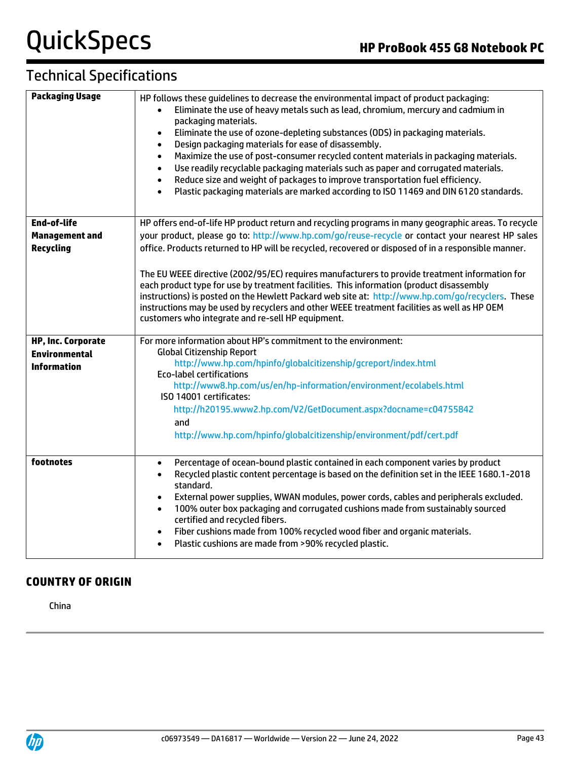# Technical Specifications

| <b>Packaging Usage</b>    | HP follows these guidelines to decrease the environmental impact of product packaging:<br>Eliminate the use of heavy metals such as lead, chromium, mercury and cadmium in<br>packaging materials.<br>Eliminate the use of ozone-depleting substances (ODS) in packaging materials.<br>$\bullet$<br>Design packaging materials for ease of disassembly.<br>$\bullet$<br>Maximize the use of post-consumer recycled content materials in packaging materials.<br>$\bullet$<br>Use readily recyclable packaging materials such as paper and corrugated materials.<br>$\bullet$<br>Reduce size and weight of packages to improve transportation fuel efficiency.<br>$\bullet$<br>Plastic packaging materials are marked according to ISO 11469 and DIN 6120 standards.<br>$\bullet$ |
|---------------------------|----------------------------------------------------------------------------------------------------------------------------------------------------------------------------------------------------------------------------------------------------------------------------------------------------------------------------------------------------------------------------------------------------------------------------------------------------------------------------------------------------------------------------------------------------------------------------------------------------------------------------------------------------------------------------------------------------------------------------------------------------------------------------------|
| <b>End-of-life</b>        | HP offers end-of-life HP product return and recycling programs in many geographic areas. To recycle                                                                                                                                                                                                                                                                                                                                                                                                                                                                                                                                                                                                                                                                              |
| <b>Management and</b>     | your product, please go to: http://www.hp.com/go/reuse-recycle or contact your nearest HP sales                                                                                                                                                                                                                                                                                                                                                                                                                                                                                                                                                                                                                                                                                  |
| <b>Recycling</b>          | office. Products returned to HP will be recycled, recovered or disposed of in a responsible manner.                                                                                                                                                                                                                                                                                                                                                                                                                                                                                                                                                                                                                                                                              |
|                           | The EU WEEE directive (2002/95/EC) requires manufacturers to provide treatment information for<br>each product type for use by treatment facilities. This information (product disassembly<br>instructions) is posted on the Hewlett Packard web site at: http://www.hp.com/go/recyclers. These<br>instructions may be used by recyclers and other WEEE treatment facilities as well as HP OEM<br>customers who integrate and re-sell HP equipment.                                                                                                                                                                                                                                                                                                                              |
| <b>HP, Inc. Corporate</b> | For more information about HP's commitment to the environment:                                                                                                                                                                                                                                                                                                                                                                                                                                                                                                                                                                                                                                                                                                                   |
| <b>Environmental</b>      | <b>Global Citizenship Report</b><br>http://www.hp.com/hpinfo/globalcitizenship/gcreport/index.html                                                                                                                                                                                                                                                                                                                                                                                                                                                                                                                                                                                                                                                                               |
| <b>Information</b>        | <b>Eco-label certifications</b>                                                                                                                                                                                                                                                                                                                                                                                                                                                                                                                                                                                                                                                                                                                                                  |
|                           | http://www8.hp.com/us/en/hp-information/environment/ecolabels.html                                                                                                                                                                                                                                                                                                                                                                                                                                                                                                                                                                                                                                                                                                               |
|                           | ISO 14001 certificates:                                                                                                                                                                                                                                                                                                                                                                                                                                                                                                                                                                                                                                                                                                                                                          |
|                           | http://h20195.www2.hp.com/V2/GetDocument.aspx?docname=c04755842                                                                                                                                                                                                                                                                                                                                                                                                                                                                                                                                                                                                                                                                                                                  |
|                           | and                                                                                                                                                                                                                                                                                                                                                                                                                                                                                                                                                                                                                                                                                                                                                                              |
|                           | http://www.hp.com/hpinfo/globalcitizenship/environment/pdf/cert.pdf                                                                                                                                                                                                                                                                                                                                                                                                                                                                                                                                                                                                                                                                                                              |
| footnotes                 | Percentage of ocean-bound plastic contained in each component varies by product<br>$\bullet$<br>Recycled plastic content percentage is based on the definition set in the IEEE 1680.1-2018<br>$\bullet$<br>standard.<br>External power supplies, WWAN modules, power cords, cables and peripherals excluded.<br>$\bullet$<br>100% outer box packaging and corrugated cushions made from sustainably sourced<br>$\bullet$<br>certified and recycled fibers.<br>Fiber cushions made from 100% recycled wood fiber and organic materials.<br>$\bullet$<br>Plastic cushions are made from >90% recycled plastic.<br>$\bullet$                                                                                                                                                        |
|                           |                                                                                                                                                                                                                                                                                                                                                                                                                                                                                                                                                                                                                                                                                                                                                                                  |
|                           |                                                                                                                                                                                                                                                                                                                                                                                                                                                                                                                                                                                                                                                                                                                                                                                  |

### **COUNTRY OF ORIGIN**

China

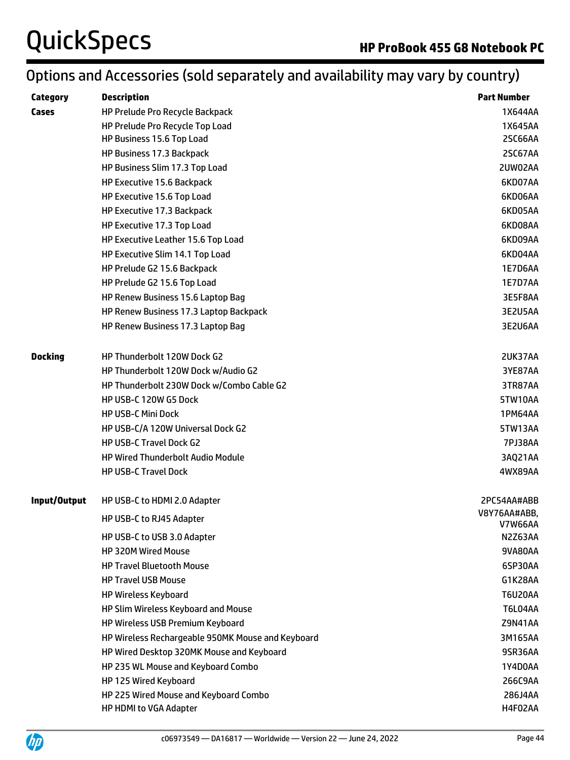## Options and Accessories (sold separately and availability may vary by country)

| Category       | <b>Description</b>                                | <b>Part Number</b> |
|----------------|---------------------------------------------------|--------------------|
| Cases          | HP Prelude Pro Recycle Backpack                   | 1X644AA            |
|                | HP Prelude Pro Recycle Top Load                   | 1X645AA            |
|                | HP Business 15.6 Top Load                         | 2SC66AA            |
|                | HP Business 17.3 Backpack                         | <b>2SC67AA</b>     |
|                | HP Business Slim 17.3 Top Load                    | 2UW02AA            |
|                | HP Executive 15.6 Backpack                        | 6KD07AA            |
|                | HP Executive 15.6 Top Load                        | 6KD06AA            |
|                | HP Executive 17.3 Backpack                        | 6KD05AA            |
|                | HP Executive 17.3 Top Load                        | 6KD08AA            |
|                | HP Executive Leather 15.6 Top Load                | 6KD09AA            |
|                | HP Executive Slim 14.1 Top Load                   | 6KD04AA            |
|                | HP Prelude G2 15.6 Backpack                       | 1E7D6AA            |
|                | HP Prelude G2 15.6 Top Load                       | 1E7D7AA            |
|                | HP Renew Business 15.6 Laptop Bag                 | 3E5F8AA            |
|                | HP Renew Business 17.3 Laptop Backpack            | 3E2U5AA            |
|                | HP Renew Business 17.3 Laptop Bag                 | 3E2U6AA            |
| <b>Docking</b> | HP Thunderbolt 120W Dock G2                       | 2UK37AA            |
|                | HP Thunderbolt 120W Dock w/Audio G2               | 3YE87AA            |
|                | HP Thunderbolt 230W Dock w/Combo Cable G2         | 3TR87AA            |
|                | HP USB-C 120W G5 Dock                             | 5TW10AA            |
|                | <b>HP USB-C Mini Dock</b>                         | 1PM64AA            |
|                | HP USB-C/A 120W Universal Dock G2                 | 5TW13AA            |
|                | <b>HP USB-C Travel Dock G2</b>                    | <b>7PJ38AA</b>     |
|                | HP Wired Thunderbolt Audio Module                 | 3AQ21AA            |
|                | <b>HP USB-C Travel Dock</b>                       | 4WX89AA            |
| Input/Output   | HP USB-C to HDMI 2.0 Adapter                      | 2PC54AA#ABB        |
|                | HP USB-C to RJ45 Adapter                          | V8Y76AA#ABB,       |
|                |                                                   | <b>V7W66AA</b>     |
|                | HP USB-C to USB 3.0 Adapter                       | N2Z63AA            |
|                | HP 320M Wired Mouse                               | 9VA80AA            |
|                | <b>HP Travel Bluetooth Mouse</b>                  | 6SP30AA            |
|                | <b>HP Travel USB Mouse</b>                        | G1K28AA            |
|                | <b>HP Wireless Keyboard</b>                       | <b>T6U20AA</b>     |
|                | HP Slim Wireless Keyboard and Mouse               | T6L04AA            |
|                | HP Wireless USB Premium Keyboard                  | Z9N41AA            |
|                | HP Wireless Rechargeable 950MK Mouse and Keyboard | 3M165AA            |
|                | HP Wired Desktop 320MK Mouse and Keyboard         | 9SR36AA            |
|                | HP 235 WL Mouse and Keyboard Combo                | 1Y4D0AA            |
|                | HP 125 Wired Keyboard                             | 266C9AA            |
|                | HP 225 Wired Mouse and Keyboard Combo             | 286J4AA            |
|                | HP HDMI to VGA Adapter                            | H4F02AA            |

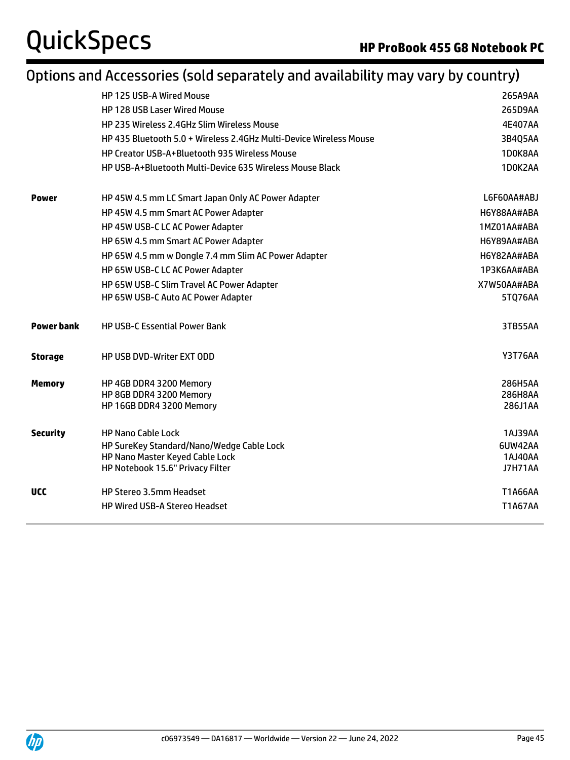## Options and Accessories (sold separately and availability may vary by country)

|                   | <b>HP 125 USB-A Wired Mouse</b>                                    | 265A9AA            |
|-------------------|--------------------------------------------------------------------|--------------------|
|                   | <b>HP 128 USB Laser Wired Mouse</b>                                | 265D9AA            |
|                   | HP 235 Wireless 2.4GHz Slim Wireless Mouse                         | 4E407AA<br>3B4Q5AA |
|                   | HP 435 Bluetooth 5.0 + Wireless 2.4GHz Multi-Device Wireless Mouse |                    |
|                   | <b>HP Creator USB-A+Bluetooth 935 Wireless Mouse</b>               | 1D0K8AA            |
|                   | HP USB-A+Bluetooth Multi-Device 635 Wireless Mouse Black           | 1D0K2AA            |
| <b>Power</b>      | HP 45W 4.5 mm LC Smart Japan Only AC Power Adapter                 | L6F60AA#ABJ        |
|                   | HP 45W 4.5 mm Smart AC Power Adapter                               | H6Y88AA#ABA        |
|                   | HP 45W USB-C LC AC Power Adapter                                   | 1MZ01AA#ABA        |
|                   | HP 65W 4.5 mm Smart AC Power Adapter                               | H6Y89AA#ABA        |
|                   | HP 65W 4.5 mm w Dongle 7.4 mm Slim AC Power Adapter                | H6Y82AA#ABA        |
|                   | HP 65W USB-C LC AC Power Adapter                                   | 1P3K6AA#ABA        |
|                   | HP 65W USB-C Slim Travel AC Power Adapter                          | X7W50AA#ABA        |
|                   | HP 65W USB-C Auto AC Power Adapter                                 | 5TQ76AA            |
| <b>Power bank</b> | <b>HP USB-C Essential Power Bank</b>                               | 3TB55AA            |
| <b>Storage</b>    | <b>HP USB DVD-Writer EXT ODD</b>                                   | <b>Y3T76AA</b>     |
| <b>Memory</b>     | HP 4GB DDR4 3200 Memory                                            | 286H5AA            |
|                   | HP 8GB DDR4 3200 Memory                                            | 286H8AA            |
|                   | HP 16GB DDR4 3200 Memory                                           | 286J1AA            |
| <b>Security</b>   | <b>HP Nano Cable Lock</b>                                          | 1AJ39AA            |
|                   | HP SureKey Standard/Nano/Wedge Cable Lock                          | 6UW42AA            |
|                   | HP Nano Master Keyed Cable Lock                                    | 1AJ40AA            |
|                   | HP Notebook 15.6" Privacy Filter                                   | <b>J7H71AA</b>     |
| <b>UCC</b>        | HP Stereo 3.5mm Headset                                            | <b>T1A66AA</b>     |
|                   | <b>HP Wired USB-A Stereo Headset</b>                               | <b>T1A67AA</b>     |